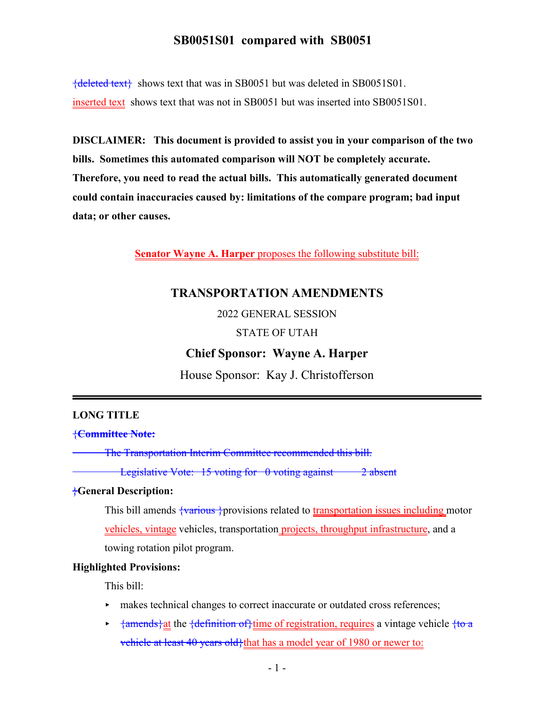{deleted text} shows text that was in SB0051 but was deleted in SB0051S01. inserted text shows text that was not in SB0051 but was inserted into SB0051S01.

**DISCLAIMER: This document is provided to assist you in your comparison of the two bills. Sometimes this automated comparison will NOT be completely accurate. Therefore, you need to read the actual bills. This automatically generated document could contain inaccuracies caused by: limitations of the compare program; bad input data; or other causes.**

**Senator Wayne A. Harper** proposes the following substitute bill:

## **TRANSPORTATION AMENDMENTS**

2022 GENERAL SESSION

#### STATE OF UTAH

#### **Chief Sponsor: Wayne A. Harper**

House Sponsor: Kay J. Christofferson

#### **LONG TITLE**

{**Committee Note:**

The Transportation Interim Committee recommended this bill.

Legislative Vote:  $15$  voting for  $\theta$  voting against  $\theta$  absent

#### }**General Description:**

This bill amends  $\frac{1}{1}$   $\frac{1}{1}$   $\frac{1}{1}$   $\frac{1}{1}$   $\frac{1}{1}$   $\frac{1}{1}$   $\frac{1}{1}$   $\frac{1}{1}$   $\frac{1}{1}$   $\frac{1}{1}$   $\frac{1}{1}$   $\frac{1}{1}$   $\frac{1}{1}$   $\frac{1}{1}$   $\frac{1}{1}$   $\frac{1}{1}$   $\frac{1}{1}$   $\frac{1}{1}$   $\frac{1}{1}$   $\frac{1}{1}$   $\frac{$ vehicles, vintage vehicles, transportation projects, throughput infrastructure, and a towing rotation pilot program.

#### **Highlighted Provisions:**

This bill:

- makes technical changes to correct inaccurate or outdated cross references;
- $\rightarrow$  {amends} at the {definition of } time of registration, requires a vintage vehicle {to a vehicle at least 40 years old}that has a model year of 1980 or newer to: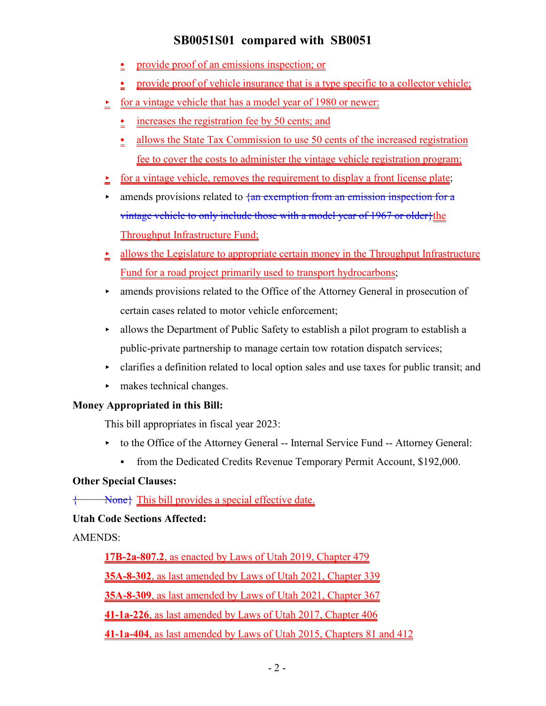- provide proof of an emissions inspection; or
- provide proof of vehicle insurance that is a type specific to a collector vehicle;
- $\leq$  for a vintage vehicle that has a model year of 1980 or newer:
	- $\frac{\cdot}{\cdot}$  increases the registration fee by 50 cents; and
	- <u>.</u> allows the State Tax Commission to use 50 cents of the increased registration fee to cover the costs to administer the vintage vehicle registration program;
- for a vintage vehicle, removes the requirement to display a front license plate;
- $\triangleright$  amends provisions related to  $\frac{1}{4}$  exemption from an emission inspection for a vintage vehicle to only include those with a model year of 1967 or older}the Throughput Infrastructure Fund;
- $\geq$  allows the Legislature to appropriate certain money in the Throughput Infrastructure Fund for a road project primarily used to transport hydrocarbons;
- < amends provisions related to the Office of the Attorney General in prosecution of certain cases related to motor vehicle enforcement;
- $\blacktriangleright$  allows the Department of Public Safety to establish a pilot program to establish a public-private partnership to manage certain tow rotation dispatch services;
- $\triangleright$  clarifies a definition related to local option sales and use taxes for public transit; and
- $\blacktriangleright$  makes technical changes.

## **Money Appropriated in this Bill:**

This bill appropriates in fiscal year 2023:

- to the Office of the Attorney General -- Internal Service Fund -- Attorney General:
	- from the Dedicated Credits Revenue Temporary Permit Account, \$192,000.

## **Other Special Clauses:**

{ None None This bill provides a special effective date.

# **Utah Code Sections Affected:**

# AMENDS:

**17B-2a-807.2**, as enacted by Laws of Utah 2019, Chapter 479 **35A-8-302**, as last amended by Laws of Utah 2021, Chapter 339 **35A-8-309**, as last amended by Laws of Utah 2021, Chapter 367 **41-1a-226**, as last amended by Laws of Utah 2017, Chapter 406 **41-1a-404**, as last amended by Laws of Utah 2015, Chapters 81 and 412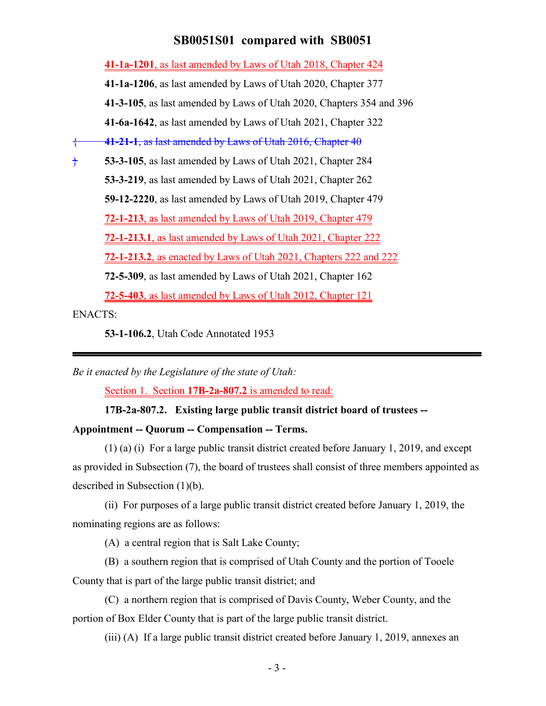**41-1a-1201**, as last amended by Laws of Utah 2018, Chapter 424 **41-1a-1206**, as last amended by Laws of Utah 2020, Chapter 377 **41-3-105**, as last amended by Laws of Utah 2020, Chapters 354 and 396 **41-6a-1642**, as last amended by Laws of Utah 2021, Chapter 322 { **41-21-1**, as last amended by Laws of Utah 2016, Chapter 40 } **53-3-105**, as last amended by Laws of Utah 2021, Chapter 284 **53-3-219**, as last amended by Laws of Utah 2021, Chapter 262 **59-12-2220**, as last amended by Laws of Utah 2019, Chapter 479 **72-1-213**, as last amended by Laws of Utah 2019, Chapter 479 **72-1-213.1**, as last amended by Laws of Utah 2021, Chapter 222 **72-1-213.2**, as enacted by Laws of Utah 2021, Chapters 222 and 222 **72-5-309**, as last amended by Laws of Utah 2021, Chapter 162 **72-5-403**, as last amended by Laws of Utah 2012, Chapter 121

ENACTS:

**53-1-106.2**, Utah Code Annotated 1953

*Be it enacted by the Legislature of the state of Utah:*

Section 1. Section **17B-2a-807.2** is amended to read:

#### **17B-2a-807.2. Existing large public transit district board of trustees --**

#### **Appointment -- Quorum -- Compensation -- Terms.**

(1) (a) (i) For a large public transit district created before January 1, 2019, and except as provided in Subsection (7), the board of trustees shall consist of three members appointed as described in Subsection (1)(b).

(ii) For purposes of a large public transit district created before January 1, 2019, the nominating regions are as follows:

(A) a central region that is Salt Lake County;

(B) a southern region that is comprised of Utah County and the portion of Tooele County that is part of the large public transit district; and

(C) a northern region that is comprised of Davis County, Weber County, and the portion of Box Elder County that is part of the large public transit district.

(iii) (A) If a large public transit district created before January 1, 2019, annexes an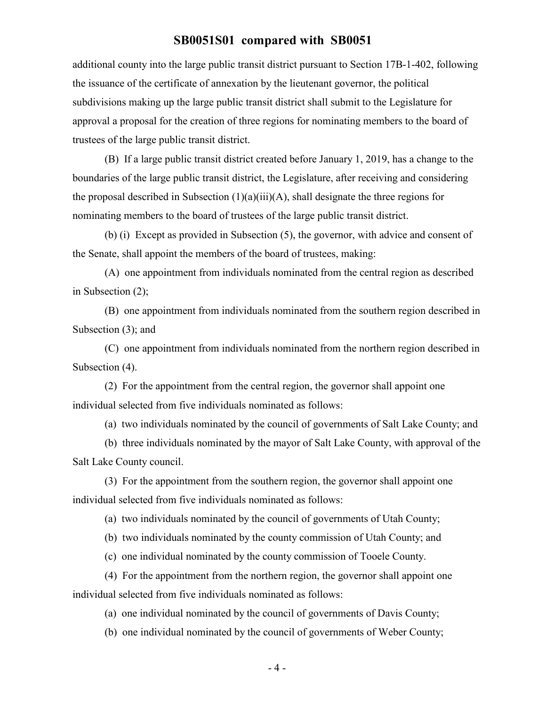additional county into the large public transit district pursuant to Section 17B-1-402, following the issuance of the certificate of annexation by the lieutenant governor, the political subdivisions making up the large public transit district shall submit to the Legislature for approval a proposal for the creation of three regions for nominating members to the board of trustees of the large public transit district.

(B) If a large public transit district created before January 1, 2019, has a change to the boundaries of the large public transit district, the Legislature, after receiving and considering the proposal described in Subsection  $(1)(a)(iii)(A)$ , shall designate the three regions for nominating members to the board of trustees of the large public transit district.

(b) (i) Except as provided in Subsection (5), the governor, with advice and consent of the Senate, shall appoint the members of the board of trustees, making:

(A) one appointment from individuals nominated from the central region as described in Subsection (2);

(B) one appointment from individuals nominated from the southern region described in Subsection (3); and

(C) one appointment from individuals nominated from the northern region described in Subsection (4).

(2) For the appointment from the central region, the governor shall appoint one individual selected from five individuals nominated as follows:

(a) two individuals nominated by the council of governments of Salt Lake County; and

(b) three individuals nominated by the mayor of Salt Lake County, with approval of the Salt Lake County council.

(3) For the appointment from the southern region, the governor shall appoint one individual selected from five individuals nominated as follows:

(a) two individuals nominated by the council of governments of Utah County;

(b) two individuals nominated by the county commission of Utah County; and

(c) one individual nominated by the county commission of Tooele County.

(4) For the appointment from the northern region, the governor shall appoint one individual selected from five individuals nominated as follows:

(a) one individual nominated by the council of governments of Davis County;

(b) one individual nominated by the council of governments of Weber County;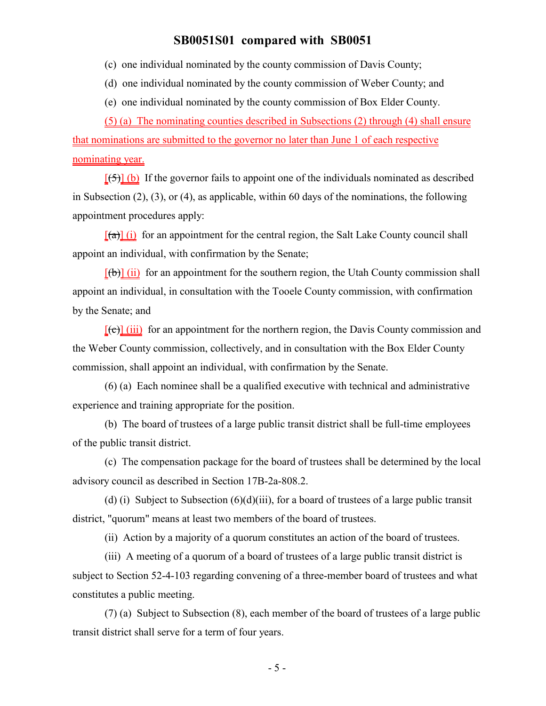(c) one individual nominated by the county commission of Davis County;

(d) one individual nominated by the county commission of Weber County; and

(e) one individual nominated by the county commission of Box Elder County.

(5) (a) The nominating counties described in Subsections (2) through (4) shall ensure that nominations are submitted to the governor no later than June 1 of each respective nominating year.

 $[5]$  (b) If the governor fails to appoint one of the individuals nominated as described in Subsection (2), (3), or (4), as applicable, within 60 days of the nominations, the following appointment procedures apply:

 $[(a)] (i)$  for an appointment for the central region, the Salt Lake County council shall appoint an individual, with confirmation by the Senate;

 $[(\theta)]$  (ii) for an appointment for the southern region, the Utah County commission shall appoint an individual, in consultation with the Tooele County commission, with confirmation by the Senate; and

 $[\text{f}\Theta]$  (iii) for an appointment for the northern region, the Davis County commission and the Weber County commission, collectively, and in consultation with the Box Elder County commission, shall appoint an individual, with confirmation by the Senate.

(6) (a) Each nominee shall be a qualified executive with technical and administrative experience and training appropriate for the position.

(b) The board of trustees of a large public transit district shall be full-time employees of the public transit district.

(c) The compensation package for the board of trustees shall be determined by the local advisory council as described in Section 17B-2a-808.2.

(d) (i) Subject to Subsection  $(6)(d)(iii)$ , for a board of trustees of a large public transit district, "quorum" means at least two members of the board of trustees.

(ii) Action by a majority of a quorum constitutes an action of the board of trustees.

(iii) A meeting of a quorum of a board of trustees of a large public transit district is subject to Section 52-4-103 regarding convening of a three-member board of trustees and what constitutes a public meeting.

(7) (a) Subject to Subsection (8), each member of the board of trustees of a large public transit district shall serve for a term of four years.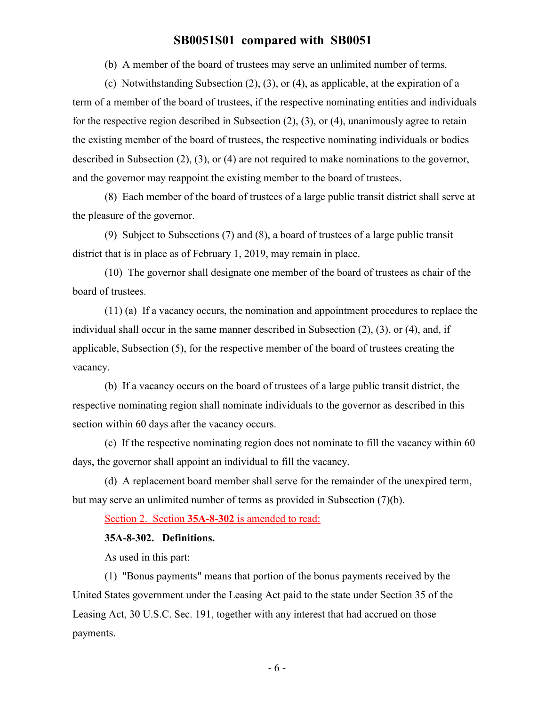(b) A member of the board of trustees may serve an unlimited number of terms.

(c) Notwithstanding Subsection (2), (3), or (4), as applicable, at the expiration of a term of a member of the board of trustees, if the respective nominating entities and individuals for the respective region described in Subsection (2), (3), or (4), unanimously agree to retain the existing member of the board of trustees, the respective nominating individuals or bodies described in Subsection (2), (3), or (4) are not required to make nominations to the governor, and the governor may reappoint the existing member to the board of trustees.

(8) Each member of the board of trustees of a large public transit district shall serve at the pleasure of the governor.

(9) Subject to Subsections (7) and (8), a board of trustees of a large public transit district that is in place as of February 1, 2019, may remain in place.

(10) The governor shall designate one member of the board of trustees as chair of the board of trustees.

(11) (a) If a vacancy occurs, the nomination and appointment procedures to replace the individual shall occur in the same manner described in Subsection (2), (3), or (4), and, if applicable, Subsection (5), for the respective member of the board of trustees creating the vacancy.

(b) If a vacancy occurs on the board of trustees of a large public transit district, the respective nominating region shall nominate individuals to the governor as described in this section within 60 days after the vacancy occurs.

(c) If the respective nominating region does not nominate to fill the vacancy within 60 days, the governor shall appoint an individual to fill the vacancy.

(d) A replacement board member shall serve for the remainder of the unexpired term, but may serve an unlimited number of terms as provided in Subsection (7)(b).

Section 2. Section **35A-8-302** is amended to read:

#### **35A-8-302. Definitions.**

As used in this part:

(1) "Bonus payments" means that portion of the bonus payments received by the United States government under the Leasing Act paid to the state under Section 35 of the Leasing Act, 30 U.S.C. Sec. 191, together with any interest that had accrued on those payments.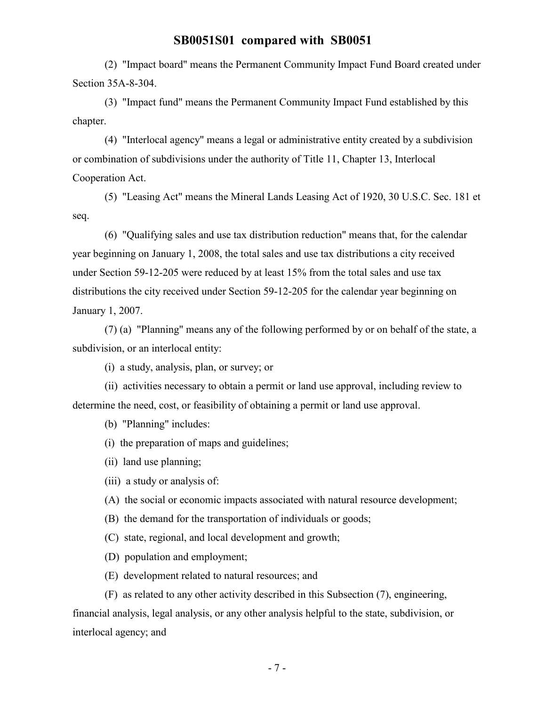(2) "Impact board" means the Permanent Community Impact Fund Board created under Section 35A-8-304.

(3) "Impact fund" means the Permanent Community Impact Fund established by this chapter.

(4) "Interlocal agency" means a legal or administrative entity created by a subdivision or combination of subdivisions under the authority of Title 11, Chapter 13, Interlocal Cooperation Act.

(5) "Leasing Act" means the Mineral Lands Leasing Act of 1920, 30 U.S.C. Sec. 181 et seq.

(6) "Qualifying sales and use tax distribution reduction" means that, for the calendar year beginning on January 1, 2008, the total sales and use tax distributions a city received under Section 59-12-205 were reduced by at least 15% from the total sales and use tax distributions the city received under Section 59-12-205 for the calendar year beginning on January 1, 2007.

(7) (a) "Planning" means any of the following performed by or on behalf of the state, a subdivision, or an interlocal entity:

(i) a study, analysis, plan, or survey; or

(ii) activities necessary to obtain a permit or land use approval, including review to determine the need, cost, or feasibility of obtaining a permit or land use approval.

(b) "Planning" includes:

(i) the preparation of maps and guidelines;

(ii) land use planning;

(iii) a study or analysis of:

(A) the social or economic impacts associated with natural resource development;

(B) the demand for the transportation of individuals or goods;

(C) state, regional, and local development and growth;

(D) population and employment;

(E) development related to natural resources; and

(F) as related to any other activity described in this Subsection (7), engineering,

financial analysis, legal analysis, or any other analysis helpful to the state, subdivision, or interlocal agency; and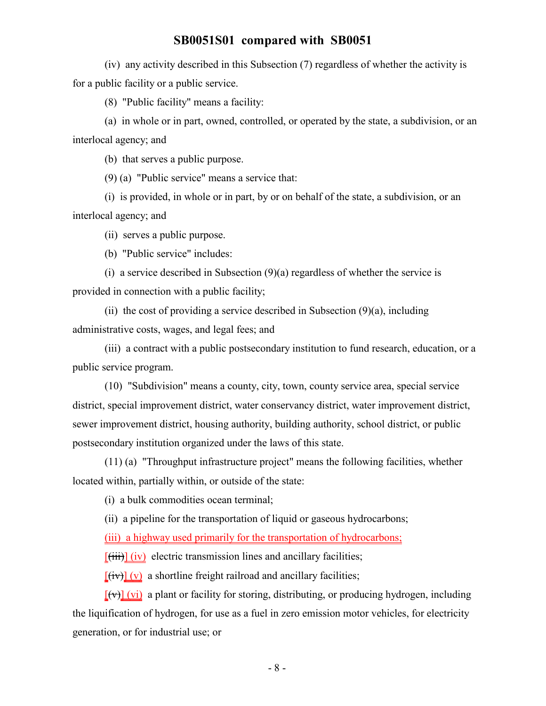(iv) any activity described in this Subsection (7) regardless of whether the activity is for a public facility or a public service.

(8) "Public facility" means a facility:

(a) in whole or in part, owned, controlled, or operated by the state, a subdivision, or an interlocal agency; and

(b) that serves a public purpose.

(9) (a) "Public service" means a service that:

(i) is provided, in whole or in part, by or on behalf of the state, a subdivision, or an interlocal agency; and

(ii) serves a public purpose.

(b) "Public service" includes:

(i) a service described in Subsection  $(9)(a)$  regardless of whether the service is provided in connection with a public facility;

(ii) the cost of providing a service described in Subsection  $(9)(a)$ , including administrative costs, wages, and legal fees; and

(iii) a contract with a public postsecondary institution to fund research, education, or a public service program.

(10) "Subdivision" means a county, city, town, county service area, special service district, special improvement district, water conservancy district, water improvement district, sewer improvement district, housing authority, building authority, school district, or public postsecondary institution organized under the laws of this state.

(11) (a) "Throughput infrastructure project" means the following facilities, whether located within, partially within, or outside of the state:

(i) a bulk commodities ocean terminal;

(ii) a pipeline for the transportation of liquid or gaseous hydrocarbons;

(iii) a highway used primarily for the transportation of hydrocarbons;

 $[\overrightarrow{tii}]$  (iv) electric transmission lines and ancillary facilities;

 $[(iv)] (v)$  a shortline freight railroad and ancillary facilities;

 $[(\forall)]$  (vi) a plant or facility for storing, distributing, or producing hydrogen, including the liquification of hydrogen, for use as a fuel in zero emission motor vehicles, for electricity generation, or for industrial use; or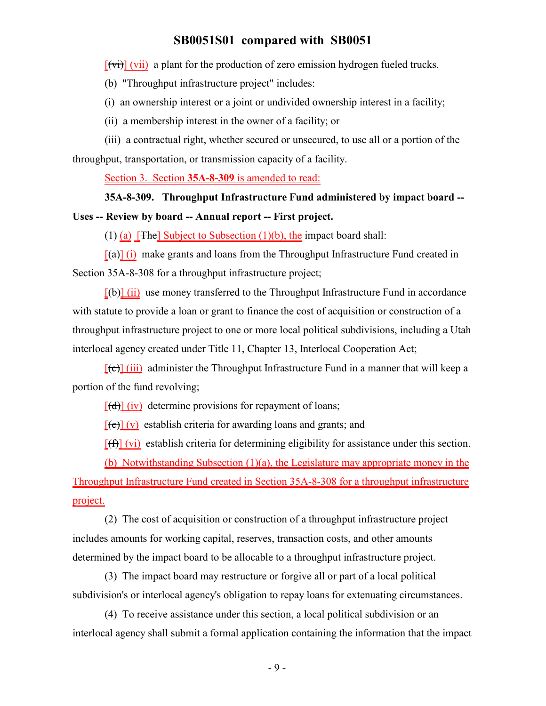$[\overline{v_i}](v_i)$  a plant for the production of zero emission hydrogen fueled trucks.

(b) "Throughput infrastructure project" includes:

(i) an ownership interest or a joint or undivided ownership interest in a facility;

(ii) a membership interest in the owner of a facility; or

(iii) a contractual right, whether secured or unsecured, to use all or a portion of the throughput, transportation, or transmission capacity of a facility.

Section 3. Section **35A-8-309** is amended to read:

#### **35A-8-309. Throughput Infrastructure Fund administered by impact board --**

#### **Uses -- Review by board -- Annual report -- First project.**

(1) (a)  $[$ The  $]$  Subject to Subsection (1)(b), the impact board shall:

 $\left[\frac{a}{\alpha}\right]$  (i) make grants and loans from the Throughput Infrastructure Fund created in Section 35A-8-308 for a throughput infrastructure project;

 $[\phi]$  (ii) use money transferred to the Throughput Infrastructure Fund in accordance with statute to provide a loan or grant to finance the cost of acquisition or construction of a throughput infrastructure project to one or more local political subdivisions, including a Utah interlocal agency created under Title 11, Chapter 13, Interlocal Cooperation Act;

 $[(e)]$  (iii) administer the Throughput Infrastructure Fund in a manner that will keep a portion of the fund revolving;

 $[(d)]$  (iv) determine provisions for repayment of loans;

 $[(e)] (v)$  establish criteria for awarding loans and grants; and

 $[f(f)]$  (vi) establish criteria for determining eligibility for assistance under this section.

(b) Notwithstanding Subsection (1)(a), the Legislature may appropriate money in the Throughput Infrastructure Fund created in Section 35A-8-308 for a throughput infrastructure project.

(2) The cost of acquisition or construction of a throughput infrastructure project includes amounts for working capital, reserves, transaction costs, and other amounts determined by the impact board to be allocable to a throughput infrastructure project.

(3) The impact board may restructure or forgive all or part of a local political subdivision's or interlocal agency's obligation to repay loans for extenuating circumstances.

(4) To receive assistance under this section, a local political subdivision or an interlocal agency shall submit a formal application containing the information that the impact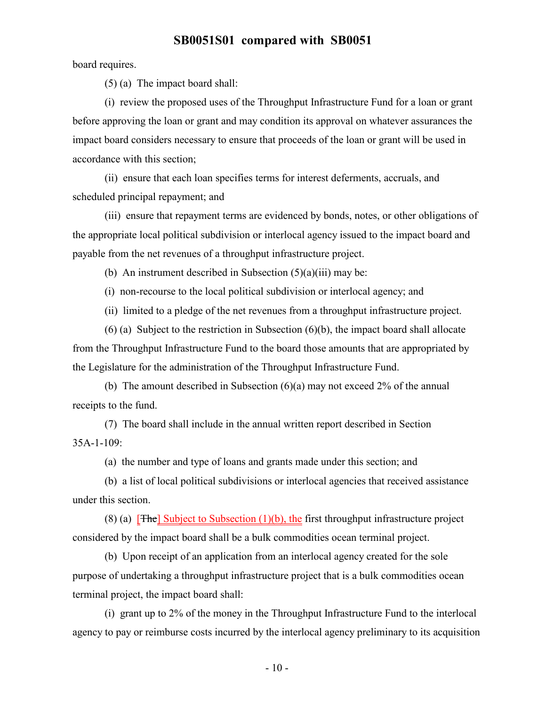board requires.

(5) (a) The impact board shall:

(i) review the proposed uses of the Throughput Infrastructure Fund for a loan or grant before approving the loan or grant and may condition its approval on whatever assurances the impact board considers necessary to ensure that proceeds of the loan or grant will be used in accordance with this section;

(ii) ensure that each loan specifies terms for interest deferments, accruals, and scheduled principal repayment; and

(iii) ensure that repayment terms are evidenced by bonds, notes, or other obligations of the appropriate local political subdivision or interlocal agency issued to the impact board and payable from the net revenues of a throughput infrastructure project.

(b) An instrument described in Subsection  $(5)(a)(iii)$  may be:

(i) non-recourse to the local political subdivision or interlocal agency; and

(ii) limited to a pledge of the net revenues from a throughput infrastructure project.

(6) (a) Subject to the restriction in Subsection (6)(b), the impact board shall allocate from the Throughput Infrastructure Fund to the board those amounts that are appropriated by the Legislature for the administration of the Throughput Infrastructure Fund.

(b) The amount described in Subsection (6)(a) may not exceed 2% of the annual receipts to the fund.

(7) The board shall include in the annual written report described in Section 35A-1-109:

(a) the number and type of loans and grants made under this section; and

(b) a list of local political subdivisions or interlocal agencies that received assistance under this section.

(8) (a)  $[$ The] Subject to Subsection (1)(b), the first throughput infrastructure project considered by the impact board shall be a bulk commodities ocean terminal project.

(b) Upon receipt of an application from an interlocal agency created for the sole purpose of undertaking a throughput infrastructure project that is a bulk commodities ocean terminal project, the impact board shall:

(i) grant up to 2% of the money in the Throughput Infrastructure Fund to the interlocal agency to pay or reimburse costs incurred by the interlocal agency preliminary to its acquisition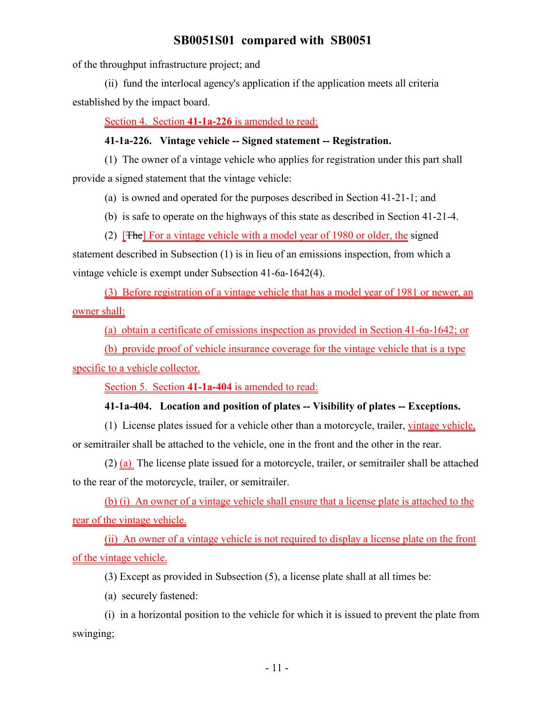of the throughput infrastructure project; and

(ii) fund the interlocal agency's application if the application meets all criteria established by the impact board.

Section 4. Section **41-1a-226** is amended to read:

#### **41-1a-226. Vintage vehicle -- Signed statement -- Registration.**

(1) The owner of a vintage vehicle who applies for registration under this part shall provide a signed statement that the vintage vehicle:

(a) is owned and operated for the purposes described in Section 41-21-1; and

(b) is safe to operate on the highways of this state as described in Section 41-21-4.

(2) [The] For a vintage vehicle with a model year of 1980 or older, the signed

statement described in Subsection (1) is in lieu of an emissions inspection, from which a vintage vehicle is exempt under Subsection 41-6a-1642(4).

(3) Before registration of a vintage vehicle that has a model year of 1981 or newer, an owner shall:

(a) obtain a certificate of emissions inspection as provided in Section 41-6a-1642; or

(b) provide proof of vehicle insurance coverage for the vintage vehicle that is a type

specific to a vehicle collector.

Section 5. Section **41-1a-404** is amended to read:

## **41-1a-404. Location and position of plates -- Visibility of plates -- Exceptions.**

(1) License plates issued for a vehicle other than a motorcycle, trailer, vintage vehicle, or semitrailer shall be attached to the vehicle, one in the front and the other in the rear.

(2) (a) The license plate issued for a motorcycle, trailer, or semitrailer shall be attached to the rear of the motorcycle, trailer, or semitrailer.

(b) (i) An owner of a vintage vehicle shall ensure that a license plate is attached to the rear of the vintage vehicle.

(ii) An owner of a vintage vehicle is not required to display a license plate on the front of the vintage vehicle.

(3) Except as provided in Subsection (5), a license plate shall at all times be:

(a) securely fastened:

(i) in a horizontal position to the vehicle for which it is issued to prevent the plate from swinging;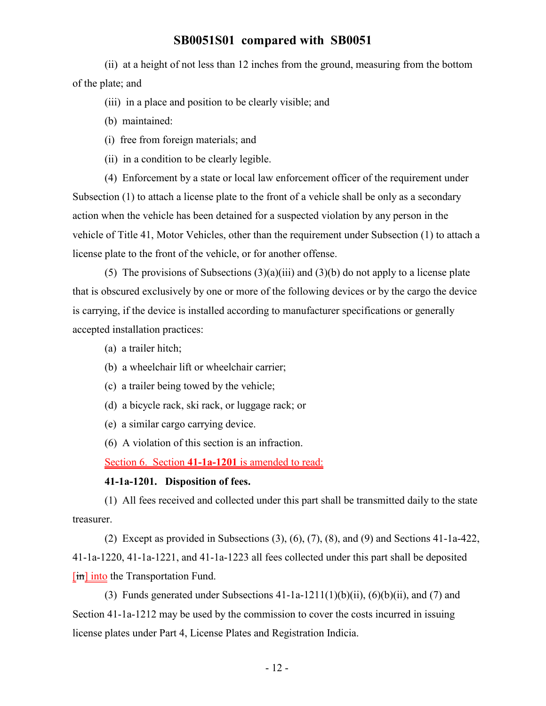(ii) at a height of not less than 12 inches from the ground, measuring from the bottom of the plate; and

- (iii) in a place and position to be clearly visible; and
- (b) maintained:
- (i) free from foreign materials; and
- (ii) in a condition to be clearly legible.

(4) Enforcement by a state or local law enforcement officer of the requirement under Subsection (1) to attach a license plate to the front of a vehicle shall be only as a secondary action when the vehicle has been detained for a suspected violation by any person in the vehicle of Title 41, Motor Vehicles, other than the requirement under Subsection (1) to attach a license plate to the front of the vehicle, or for another offense.

(5) The provisions of Subsections  $(3)(a)(iii)$  and  $(3)(b)$  do not apply to a license plate that is obscured exclusively by one or more of the following devices or by the cargo the device is carrying, if the device is installed according to manufacturer specifications or generally accepted installation practices:

- (a) a trailer hitch;
- (b) a wheelchair lift or wheelchair carrier;
- (c) a trailer being towed by the vehicle;
- (d) a bicycle rack, ski rack, or luggage rack; or
- (e) a similar cargo carrying device.
- (6) A violation of this section is an infraction.

Section 6. Section **41-1a-1201** is amended to read:

#### **41-1a-1201. Disposition of fees.**

(1) All fees received and collected under this part shall be transmitted daily to the state treasurer.

(2) Except as provided in Subsections  $(3)$ ,  $(6)$ ,  $(7)$ ,  $(8)$ , and  $(9)$  and Sections 41-1a-422, 41-1a-1220, 41-1a-1221, and 41-1a-1223 all fees collected under this part shall be deposited [in] into the Transportation Fund.

(3) Funds generated under Subsections  $41-1a-1211(1)(b)(ii)$ ,  $(6)(b)(ii)$ , and  $(7)$  and Section 41-1a-1212 may be used by the commission to cover the costs incurred in issuing license plates under Part 4, License Plates and Registration Indicia.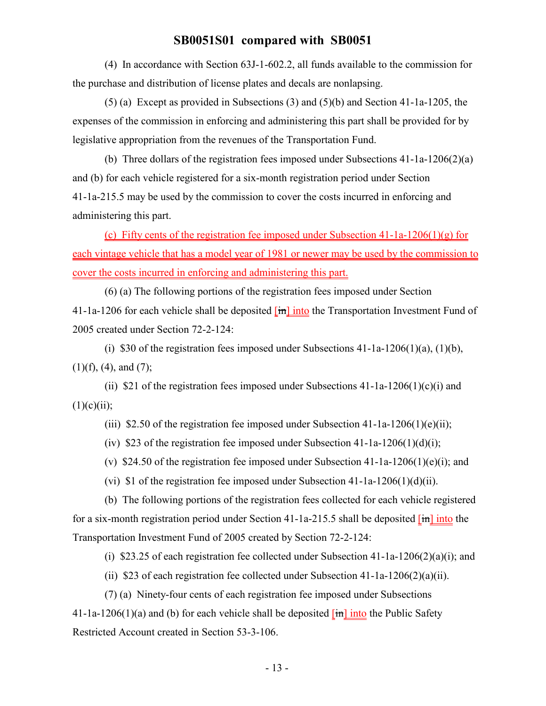(4) In accordance with Section 63J-1-602.2, all funds available to the commission for the purchase and distribution of license plates and decals are nonlapsing.

(5) (a) Except as provided in Subsections (3) and (5)(b) and Section 41-1a-1205, the expenses of the commission in enforcing and administering this part shall be provided for by legislative appropriation from the revenues of the Transportation Fund.

(b) Three dollars of the registration fees imposed under Subsections 41-1a-1206(2)(a) and (b) for each vehicle registered for a six-month registration period under Section 41-1a-215.5 may be used by the commission to cover the costs incurred in enforcing and administering this part.

(c) Fifty cents of the registration fee imposed under Subsection  $41$ - $1a$ - $1206(1)(g)$  for each vintage vehicle that has a model year of 1981 or newer may be used by the commission to cover the costs incurred in enforcing and administering this part.

(6) (a) The following portions of the registration fees imposed under Section 41-1a-1206 for each vehicle shall be deposited  $\overline{m}$  into the Transportation Investment Fund of 2005 created under Section 72-2-124:

(i) \$30 of the registration fees imposed under Subsections  $41$ -1a-1206(1)(a), (1)(b),  $(1)(f)$ ,  $(4)$ , and  $(7)$ ;

(ii) \$21 of the registration fees imposed under Subsections  $41$ -1a-1206(1)(c)(i) and  $(1)(c)(ii);$ 

(iii) \$2.50 of the registration fee imposed under Subsection 41-1a-1206(1)(e)(ii);

(iv) \$23 of the registration fee imposed under Subsection  $41$ -1a-1206(1)(d)(i);

(v) \$24.50 of the registration fee imposed under Subsection 41-1a-1206(1)(e)(i); and

(vi) \$1 of the registration fee imposed under Subsection  $41$ -1a-1206(1)(d)(ii).

(b) The following portions of the registration fees collected for each vehicle registered for a six-month registration period under Section 41-1a-215.5 shall be deposited  $\overline{[m]}$  into the Transportation Investment Fund of 2005 created by Section 72-2-124:

(i) \$23.25 of each registration fee collected under Subsection  $41$ - $1a$ - $1206(2)(a)(i)$ ; and

(ii) \$23 of each registration fee collected under Subsection  $41$ -1a-1206(2)(a)(ii).

(7) (a) Ninety-four cents of each registration fee imposed under Subsections 41-1a-1206(1)(a) and (b) for each vehicle shall be deposited  $\overline{im}$  into the Public Safety Restricted Account created in Section 53-3-106.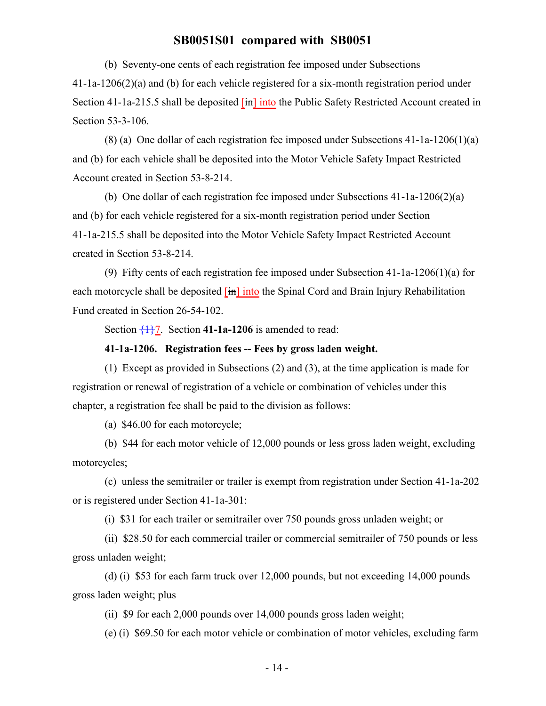(b) Seventy-one cents of each registration fee imposed under Subsections

41-1a-1206(2)(a) and (b) for each vehicle registered for a six-month registration period under Section 41-1a-215.5 shall be deposited [in] into the Public Safety Restricted Account created in Section 53-3-106.

(8) (a) One dollar of each registration fee imposed under Subsections 41-1a-1206(1)(a) and (b) for each vehicle shall be deposited into the Motor Vehicle Safety Impact Restricted Account created in Section 53-8-214.

(b) One dollar of each registration fee imposed under Subsections 41-1a-1206(2)(a) and (b) for each vehicle registered for a six-month registration period under Section 41-1a-215.5 shall be deposited into the Motor Vehicle Safety Impact Restricted Account created in Section 53-8-214.

(9) Fifty cents of each registration fee imposed under Subsection 41-1a-1206(1)(a) for each motorcycle shall be deposited [in] into the Spinal Cord and Brain Injury Rehabilitation Fund created in Section 26-54-102.

Section  $\frac{1}{2}$ . Section **41-1a-1206** is amended to read:

#### **41-1a-1206. Registration fees -- Fees by gross laden weight.**

(1) Except as provided in Subsections (2) and (3), at the time application is made for registration or renewal of registration of a vehicle or combination of vehicles under this chapter, a registration fee shall be paid to the division as follows:

(a) \$46.00 for each motorcycle;

(b) \$44 for each motor vehicle of 12,000 pounds or less gross laden weight, excluding motorcycles;

(c) unless the semitrailer or trailer is exempt from registration under Section 41-1a-202 or is registered under Section 41-1a-301:

(i) \$31 for each trailer or semitrailer over 750 pounds gross unladen weight; or

(ii) \$28.50 for each commercial trailer or commercial semitrailer of 750 pounds or less gross unladen weight;

(d) (i) \$53 for each farm truck over 12,000 pounds, but not exceeding 14,000 pounds gross laden weight; plus

(ii) \$9 for each 2,000 pounds over 14,000 pounds gross laden weight;

(e) (i) \$69.50 for each motor vehicle or combination of motor vehicles, excluding farm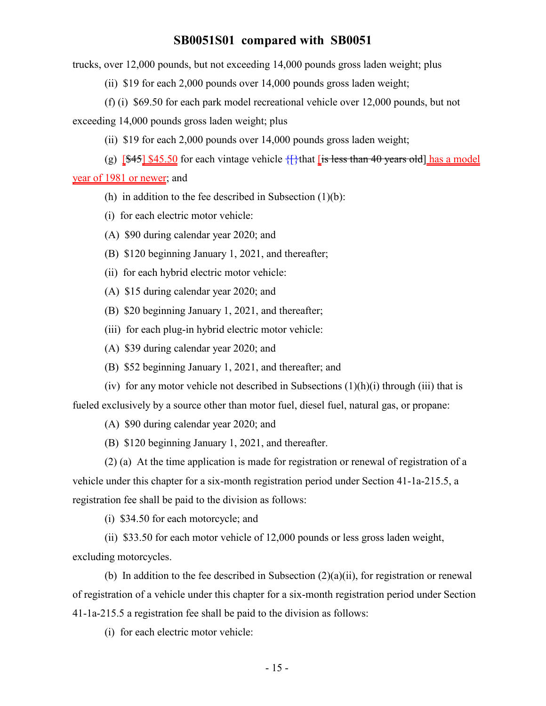trucks, over 12,000 pounds, but not exceeding 14,000 pounds gross laden weight; plus

(ii) \$19 for each 2,000 pounds over 14,000 pounds gross laden weight;

(f) (i) \$69.50 for each park model recreational vehicle over 12,000 pounds, but not

exceeding 14,000 pounds gross laden weight; plus

(ii) \$19 for each 2,000 pounds over 14,000 pounds gross laden weight;

(g)  $[45]$  \$45.50 for each vintage vehicle  $\{\}$  that [is less than 40 years old] has a model

year of 1981 or newer; and

- (h) in addition to the fee described in Subsection  $(1)(b)$ :
- (i) for each electric motor vehicle:
- (A) \$90 during calendar year 2020; and
- (B) \$120 beginning January 1, 2021, and thereafter;
- (ii) for each hybrid electric motor vehicle:
- (A) \$15 during calendar year 2020; and
- (B) \$20 beginning January 1, 2021, and thereafter;
- (iii) for each plug-in hybrid electric motor vehicle:
- (A) \$39 during calendar year 2020; and
- (B) \$52 beginning January 1, 2021, and thereafter; and
- (iv) for any motor vehicle not described in Subsections  $(1)(h)(i)$  through (iii) that is fueled exclusively by a source other than motor fuel, diesel fuel, natural gas, or propane:
	- (A) \$90 during calendar year 2020; and
	- (B) \$120 beginning January 1, 2021, and thereafter.

(2) (a) At the time application is made for registration or renewal of registration of a vehicle under this chapter for a six-month registration period under Section 41-1a-215.5, a registration fee shall be paid to the division as follows:

(i) \$34.50 for each motorcycle; and

(ii) \$33.50 for each motor vehicle of 12,000 pounds or less gross laden weight, excluding motorcycles.

(b) In addition to the fee described in Subsection  $(2)(a)(ii)$ , for registration or renewal of registration of a vehicle under this chapter for a six-month registration period under Section 41-1a-215.5 a registration fee shall be paid to the division as follows:

(i) for each electric motor vehicle: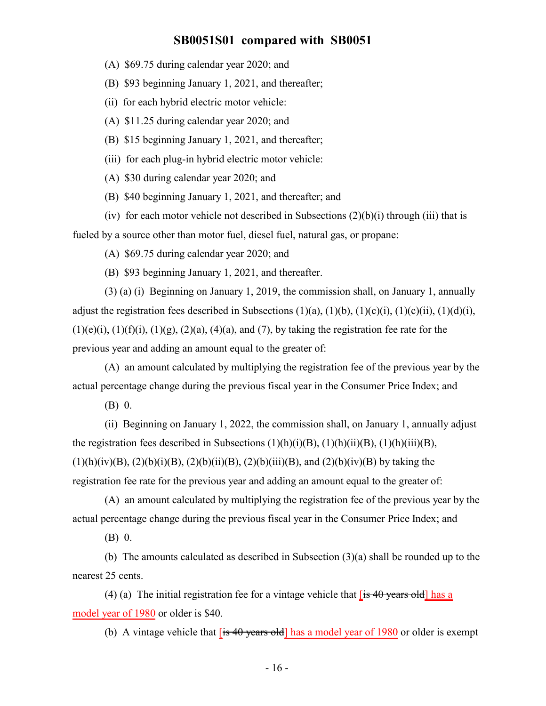- (A) \$69.75 during calendar year 2020; and
- (B) \$93 beginning January 1, 2021, and thereafter;
- (ii) for each hybrid electric motor vehicle:
- (A) \$11.25 during calendar year 2020; and
- (B) \$15 beginning January 1, 2021, and thereafter;
- (iii) for each plug-in hybrid electric motor vehicle:
- (A) \$30 during calendar year 2020; and
- (B) \$40 beginning January 1, 2021, and thereafter; and
- (iv) for each motor vehicle not described in Subsections  $(2)(b)(i)$  through (iii) that is fueled by a source other than motor fuel, diesel fuel, natural gas, or propane:
	- (A) \$69.75 during calendar year 2020; and
	- (B) \$93 beginning January 1, 2021, and thereafter.

(3) (a) (i) Beginning on January 1, 2019, the commission shall, on January 1, annually adjust the registration fees described in Subsections  $(1)(a)$ ,  $(1)(b)$ ,  $(1)(c)(i)$ ,  $(1)(c)(ii)$ ,  $(1)(d)(i)$ ,  $(1)(e)(i)$ ,  $(1)(f)(i)$ ,  $(1)(g)$ ,  $(2)(a)$ ,  $(4)(a)$ , and  $(7)$ , by taking the registration fee rate for the previous year and adding an amount equal to the greater of:

(A) an amount calculated by multiplying the registration fee of the previous year by the actual percentage change during the previous fiscal year in the Consumer Price Index; and

(B) 0.

(ii) Beginning on January 1, 2022, the commission shall, on January 1, annually adjust the registration fees described in Subsections  $(1)(h)(i)(B)$ ,  $(1)(h)(ii)(B)$ ,  $(1)(h)(iii)(B)$ ,  $(1)(h)(iv)(B), (2)(b)(i)(B), (2)(b)(ii)(B), (2)(b)(iii)(B), and (2)(b)(iv)(B) by taking the$ registration fee rate for the previous year and adding an amount equal to the greater of:

(A) an amount calculated by multiplying the registration fee of the previous year by the actual percentage change during the previous fiscal year in the Consumer Price Index; and

(B) 0.

(b) The amounts calculated as described in Subsection (3)(a) shall be rounded up to the nearest 25 cents.

(4) (a) The initial registration fee for a vintage vehicle that  $[$  is 40 years old has a model year of 1980 or older is \$40.

(b) A vintage vehicle that  $[$ is 40 years old] has a model year of 1980 or older is exempt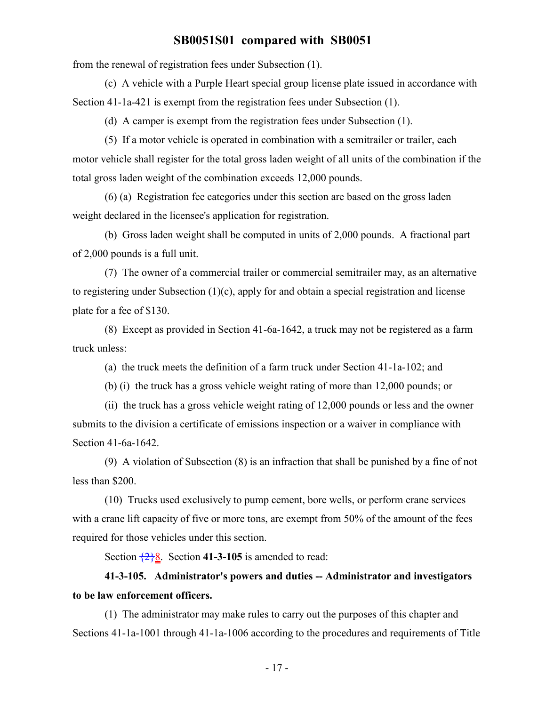from the renewal of registration fees under Subsection (1).

(c) A vehicle with a Purple Heart special group license plate issued in accordance with Section 41-1a-421 is exempt from the registration fees under Subsection (1).

(d) A camper is exempt from the registration fees under Subsection (1).

(5) If a motor vehicle is operated in combination with a semitrailer or trailer, each motor vehicle shall register for the total gross laden weight of all units of the combination if the total gross laden weight of the combination exceeds 12,000 pounds.

(6) (a) Registration fee categories under this section are based on the gross laden weight declared in the licensee's application for registration.

(b) Gross laden weight shall be computed in units of 2,000 pounds. A fractional part of 2,000 pounds is a full unit.

(7) The owner of a commercial trailer or commercial semitrailer may, as an alternative to registering under Subsection (1)(c), apply for and obtain a special registration and license plate for a fee of \$130.

(8) Except as provided in Section 41-6a-1642, a truck may not be registered as a farm truck unless:

(a) the truck meets the definition of a farm truck under Section 41-1a-102; and

(b) (i) the truck has a gross vehicle weight rating of more than 12,000 pounds; or

(ii) the truck has a gross vehicle weight rating of 12,000 pounds or less and the owner submits to the division a certificate of emissions inspection or a waiver in compliance with Section 41-6a-1642.

(9) A violation of Subsection (8) is an infraction that shall be punished by a fine of not less than \$200.

(10) Trucks used exclusively to pump cement, bore wells, or perform crane services with a crane lift capacity of five or more tons, are exempt from 50% of the amount of the fees required for those vehicles under this section.

Section  $\frac{28}{8}$ . Section **41-3-105** is amended to read:

# **41-3-105. Administrator's powers and duties -- Administrator and investigators to be law enforcement officers.**

(1) The administrator may make rules to carry out the purposes of this chapter and Sections 41-1a-1001 through 41-1a-1006 according to the procedures and requirements of Title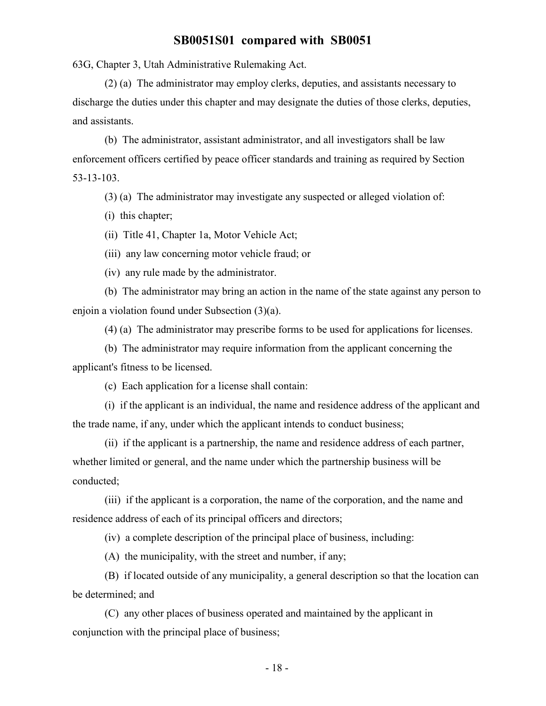63G, Chapter 3, Utah Administrative Rulemaking Act.

(2) (a) The administrator may employ clerks, deputies, and assistants necessary to discharge the duties under this chapter and may designate the duties of those clerks, deputies, and assistants.

(b) The administrator, assistant administrator, and all investigators shall be law enforcement officers certified by peace officer standards and training as required by Section 53-13-103.

(3) (a) The administrator may investigate any suspected or alleged violation of:

(i) this chapter;

(ii) Title 41, Chapter 1a, Motor Vehicle Act;

(iii) any law concerning motor vehicle fraud; or

(iv) any rule made by the administrator.

(b) The administrator may bring an action in the name of the state against any person to enjoin a violation found under Subsection (3)(a).

(4) (a) The administrator may prescribe forms to be used for applications for licenses.

(b) The administrator may require information from the applicant concerning the applicant's fitness to be licensed.

(c) Each application for a license shall contain:

(i) if the applicant is an individual, the name and residence address of the applicant and the trade name, if any, under which the applicant intends to conduct business;

(ii) if the applicant is a partnership, the name and residence address of each partner, whether limited or general, and the name under which the partnership business will be conducted;

(iii) if the applicant is a corporation, the name of the corporation, and the name and residence address of each of its principal officers and directors;

(iv) a complete description of the principal place of business, including:

(A) the municipality, with the street and number, if any;

(B) if located outside of any municipality, a general description so that the location can be determined; and

(C) any other places of business operated and maintained by the applicant in conjunction with the principal place of business;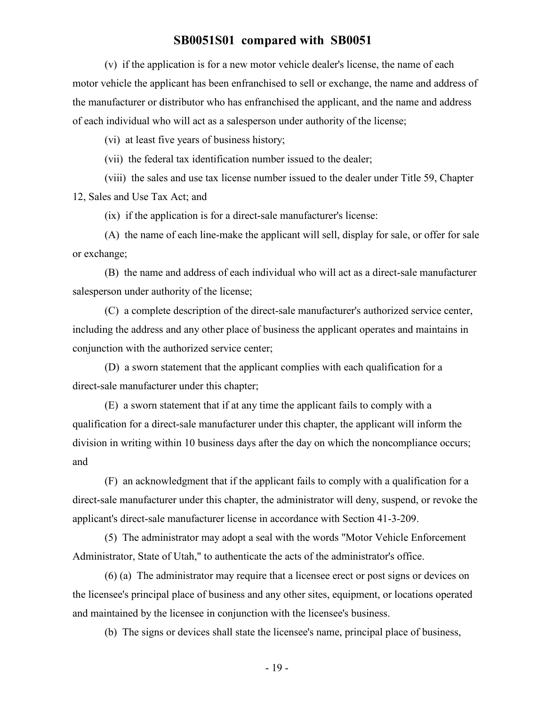(v) if the application is for a new motor vehicle dealer's license, the name of each motor vehicle the applicant has been enfranchised to sell or exchange, the name and address of the manufacturer or distributor who has enfranchised the applicant, and the name and address of each individual who will act as a salesperson under authority of the license;

(vi) at least five years of business history;

(vii) the federal tax identification number issued to the dealer;

(viii) the sales and use tax license number issued to the dealer under Title 59, Chapter 12, Sales and Use Tax Act; and

(ix) if the application is for a direct-sale manufacturer's license:

(A) the name of each line-make the applicant will sell, display for sale, or offer for sale or exchange;

(B) the name and address of each individual who will act as a direct-sale manufacturer salesperson under authority of the license;

(C) a complete description of the direct-sale manufacturer's authorized service center, including the address and any other place of business the applicant operates and maintains in conjunction with the authorized service center;

(D) a sworn statement that the applicant complies with each qualification for a direct-sale manufacturer under this chapter;

(E) a sworn statement that if at any time the applicant fails to comply with a qualification for a direct-sale manufacturer under this chapter, the applicant will inform the division in writing within 10 business days after the day on which the noncompliance occurs; and

(F) an acknowledgment that if the applicant fails to comply with a qualification for a direct-sale manufacturer under this chapter, the administrator will deny, suspend, or revoke the applicant's direct-sale manufacturer license in accordance with Section 41-3-209.

(5) The administrator may adopt a seal with the words "Motor Vehicle Enforcement Administrator, State of Utah," to authenticate the acts of the administrator's office.

(6) (a) The administrator may require that a licensee erect or post signs or devices on the licensee's principal place of business and any other sites, equipment, or locations operated and maintained by the licensee in conjunction with the licensee's business.

(b) The signs or devices shall state the licensee's name, principal place of business,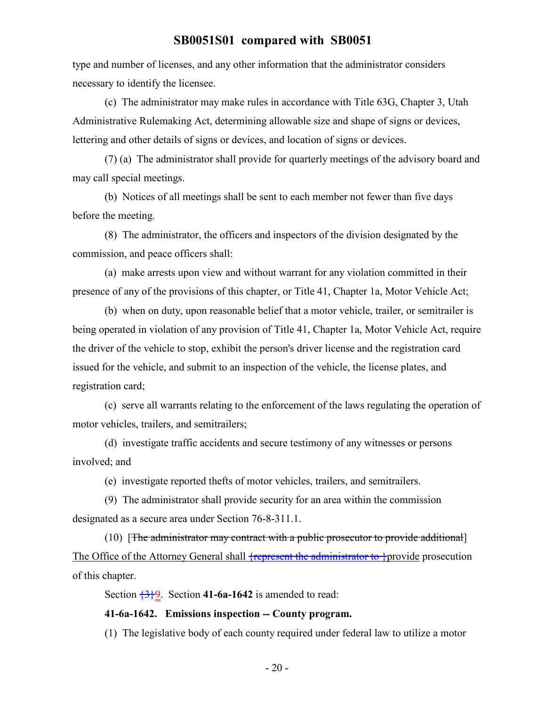type and number of licenses, and any other information that the administrator considers necessary to identify the licensee.

(c) The administrator may make rules in accordance with Title 63G, Chapter 3, Utah Administrative Rulemaking Act, determining allowable size and shape of signs or devices, lettering and other details of signs or devices, and location of signs or devices.

(7) (a) The administrator shall provide for quarterly meetings of the advisory board and may call special meetings.

(b) Notices of all meetings shall be sent to each member not fewer than five days before the meeting.

(8) The administrator, the officers and inspectors of the division designated by the commission, and peace officers shall:

(a) make arrests upon view and without warrant for any violation committed in their presence of any of the provisions of this chapter, or Title 41, Chapter 1a, Motor Vehicle Act;

(b) when on duty, upon reasonable belief that a motor vehicle, trailer, or semitrailer is being operated in violation of any provision of Title 41, Chapter 1a, Motor Vehicle Act, require the driver of the vehicle to stop, exhibit the person's driver license and the registration card issued for the vehicle, and submit to an inspection of the vehicle, the license plates, and registration card;

(c) serve all warrants relating to the enforcement of the laws regulating the operation of motor vehicles, trailers, and semitrailers;

(d) investigate traffic accidents and secure testimony of any witnesses or persons involved; and

(e) investigate reported thefts of motor vehicles, trailers, and semitrailers.

(9) The administrator shall provide security for an area within the commission designated as a secure area under Section 76-8-311.1.

(10) [The administrator may contract with a public prosecutor to provide additional] The Office of the Attorney General shall  $\frac{1}{2}$  represent the administrator to  $\frac{1}{2}$  provide prosecution of this chapter.

Section  $\frac{3}{9}$ . Section **41-6a-1642** is amended to read:

#### **41-6a-1642. Emissions inspection -- County program.**

(1) The legislative body of each county required under federal law to utilize a motor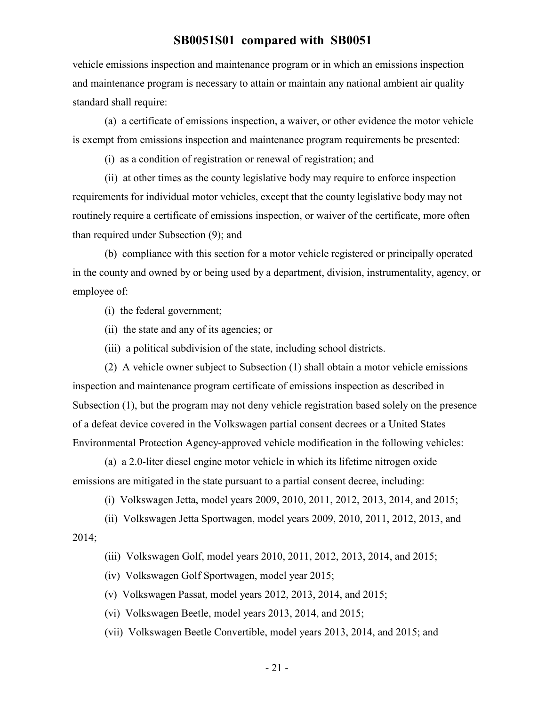vehicle emissions inspection and maintenance program or in which an emissions inspection and maintenance program is necessary to attain or maintain any national ambient air quality standard shall require:

(a) a certificate of emissions inspection, a waiver, or other evidence the motor vehicle is exempt from emissions inspection and maintenance program requirements be presented:

(i) as a condition of registration or renewal of registration; and

(ii) at other times as the county legislative body may require to enforce inspection requirements for individual motor vehicles, except that the county legislative body may not routinely require a certificate of emissions inspection, or waiver of the certificate, more often than required under Subsection (9); and

(b) compliance with this section for a motor vehicle registered or principally operated in the county and owned by or being used by a department, division, instrumentality, agency, or employee of:

(i) the federal government;

(ii) the state and any of its agencies; or

(iii) a political subdivision of the state, including school districts.

(2) A vehicle owner subject to Subsection (1) shall obtain a motor vehicle emissions inspection and maintenance program certificate of emissions inspection as described in Subsection (1), but the program may not deny vehicle registration based solely on the presence of a defeat device covered in the Volkswagen partial consent decrees or a United States Environmental Protection Agency-approved vehicle modification in the following vehicles:

(a) a 2.0-liter diesel engine motor vehicle in which its lifetime nitrogen oxide emissions are mitigated in the state pursuant to a partial consent decree, including:

(i) Volkswagen Jetta, model years 2009, 2010, 2011, 2012, 2013, 2014, and 2015;

(ii) Volkswagen Jetta Sportwagen, model years 2009, 2010, 2011, 2012, 2013, and 2014;

(iii) Volkswagen Golf, model years 2010, 2011, 2012, 2013, 2014, and 2015;

(iv) Volkswagen Golf Sportwagen, model year 2015;

(v) Volkswagen Passat, model years 2012, 2013, 2014, and 2015;

(vi) Volkswagen Beetle, model years 2013, 2014, and 2015;

(vii) Volkswagen Beetle Convertible, model years 2013, 2014, and 2015; and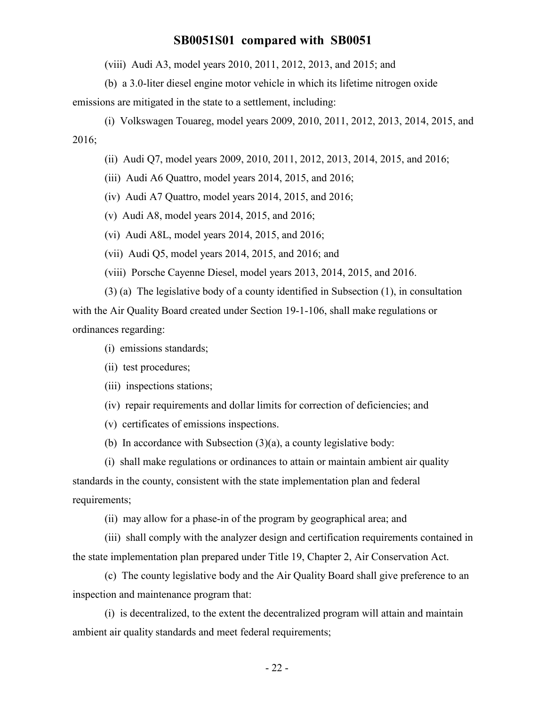(viii) Audi A3, model years 2010, 2011, 2012, 2013, and 2015; and

(b) a 3.0-liter diesel engine motor vehicle in which its lifetime nitrogen oxide

emissions are mitigated in the state to a settlement, including:

(i) Volkswagen Touareg, model years 2009, 2010, 2011, 2012, 2013, 2014, 2015, and 2016;

(ii) Audi Q7, model years 2009, 2010, 2011, 2012, 2013, 2014, 2015, and 2016;

(iii) Audi A6 Quattro, model years 2014, 2015, and 2016;

(iv) Audi A7 Quattro, model years 2014, 2015, and 2016;

(v) Audi A8, model years 2014, 2015, and 2016;

(vi) Audi A8L, model years 2014, 2015, and 2016;

(vii) Audi Q5, model years 2014, 2015, and 2016; and

(viii) Porsche Cayenne Diesel, model years 2013, 2014, 2015, and 2016.

(3) (a) The legislative body of a county identified in Subsection (1), in consultation with the Air Quality Board created under Section 19-1-106, shall make regulations or ordinances regarding:

(i) emissions standards;

(ii) test procedures;

(iii) inspections stations;

(iv) repair requirements and dollar limits for correction of deficiencies; and

(v) certificates of emissions inspections.

(b) In accordance with Subsection (3)(a), a county legislative body:

(i) shall make regulations or ordinances to attain or maintain ambient air quality standards in the county, consistent with the state implementation plan and federal requirements;

(ii) may allow for a phase-in of the program by geographical area; and

(iii) shall comply with the analyzer design and certification requirements contained in the state implementation plan prepared under Title 19, Chapter 2, Air Conservation Act.

(c) The county legislative body and the Air Quality Board shall give preference to an inspection and maintenance program that:

(i) is decentralized, to the extent the decentralized program will attain and maintain ambient air quality standards and meet federal requirements;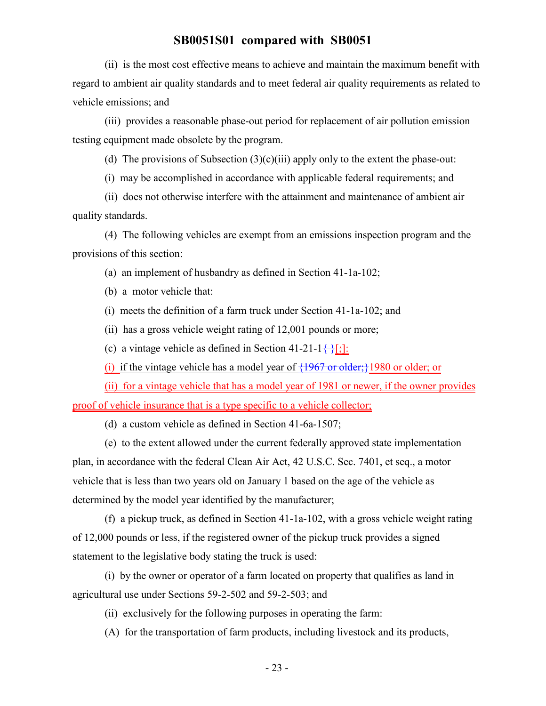(ii) is the most cost effective means to achieve and maintain the maximum benefit with regard to ambient air quality standards and to meet federal air quality requirements as related to vehicle emissions; and

(iii) provides a reasonable phase-out period for replacement of air pollution emission testing equipment made obsolete by the program.

(d) The provisions of Subsection  $(3)(c)(iii)$  apply only to the extent the phase-out:

(i) may be accomplished in accordance with applicable federal requirements; and

(ii) does not otherwise interfere with the attainment and maintenance of ambient air quality standards.

(4) The following vehicles are exempt from an emissions inspection program and the provisions of this section:

(a) an implement of husbandry as defined in Section 41-1a-102;

(b) a motor vehicle that:

(i) meets the definition of a farm truck under Section 41-1a-102; and

(ii) has a gross vehicle weight rating of 12,001 pounds or more;

(c) a vintage vehicle as defined in Section 41-21-1 $\{\cdot\};$ 

(i) if the vintage vehicle has a model year of  $\{1967 \text{ or older,}\}1980 \text{ or older, or}$ 

(ii) for a vintage vehicle that has a model year of 1981 or newer, if the owner provides proof of vehicle insurance that is a type specific to a vehicle collector;

(d) a custom vehicle as defined in Section 41-6a-1507;

(e) to the extent allowed under the current federally approved state implementation plan, in accordance with the federal Clean Air Act, 42 U.S.C. Sec. 7401, et seq., a motor vehicle that is less than two years old on January 1 based on the age of the vehicle as determined by the model year identified by the manufacturer;

(f) a pickup truck, as defined in Section 41-1a-102, with a gross vehicle weight rating of 12,000 pounds or less, if the registered owner of the pickup truck provides a signed statement to the legislative body stating the truck is used:

(i) by the owner or operator of a farm located on property that qualifies as land in agricultural use under Sections 59-2-502 and 59-2-503; and

(ii) exclusively for the following purposes in operating the farm:

(A) for the transportation of farm products, including livestock and its products,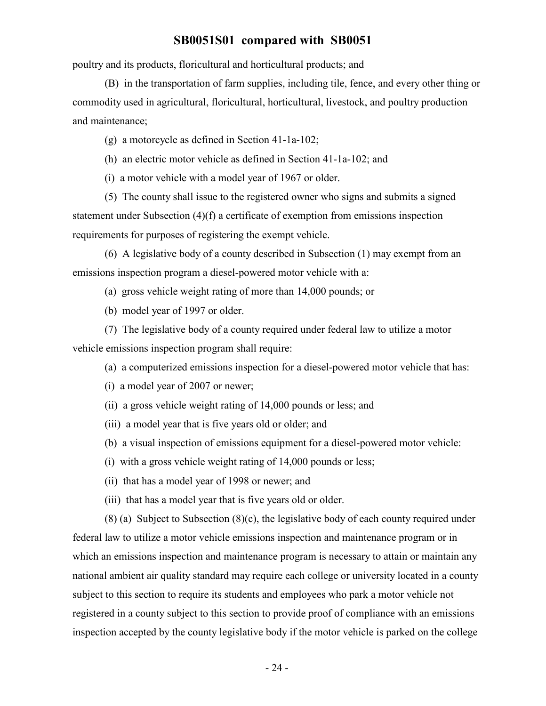poultry and its products, floricultural and horticultural products; and

(B) in the transportation of farm supplies, including tile, fence, and every other thing or commodity used in agricultural, floricultural, horticultural, livestock, and poultry production and maintenance;

(g) a motorcycle as defined in Section 41-1a-102;

(h) an electric motor vehicle as defined in Section 41-1a-102; and

(i) a motor vehicle with a model year of 1967 or older.

(5) The county shall issue to the registered owner who signs and submits a signed statement under Subsection (4)(f) a certificate of exemption from emissions inspection requirements for purposes of registering the exempt vehicle.

(6) A legislative body of a county described in Subsection (1) may exempt from an emissions inspection program a diesel-powered motor vehicle with a:

(a) gross vehicle weight rating of more than 14,000 pounds; or

(b) model year of 1997 or older.

(7) The legislative body of a county required under federal law to utilize a motor vehicle emissions inspection program shall require:

- (a) a computerized emissions inspection for a diesel-powered motor vehicle that has:
- (i) a model year of 2007 or newer;
- (ii) a gross vehicle weight rating of 14,000 pounds or less; and
- (iii) a model year that is five years old or older; and
- (b) a visual inspection of emissions equipment for a diesel-powered motor vehicle:
- (i) with a gross vehicle weight rating of 14,000 pounds or less;
- (ii) that has a model year of 1998 or newer; and
- (iii) that has a model year that is five years old or older.

(8) (a) Subject to Subsection (8)(c), the legislative body of each county required under federal law to utilize a motor vehicle emissions inspection and maintenance program or in which an emissions inspection and maintenance program is necessary to attain or maintain any national ambient air quality standard may require each college or university located in a county subject to this section to require its students and employees who park a motor vehicle not registered in a county subject to this section to provide proof of compliance with an emissions inspection accepted by the county legislative body if the motor vehicle is parked on the college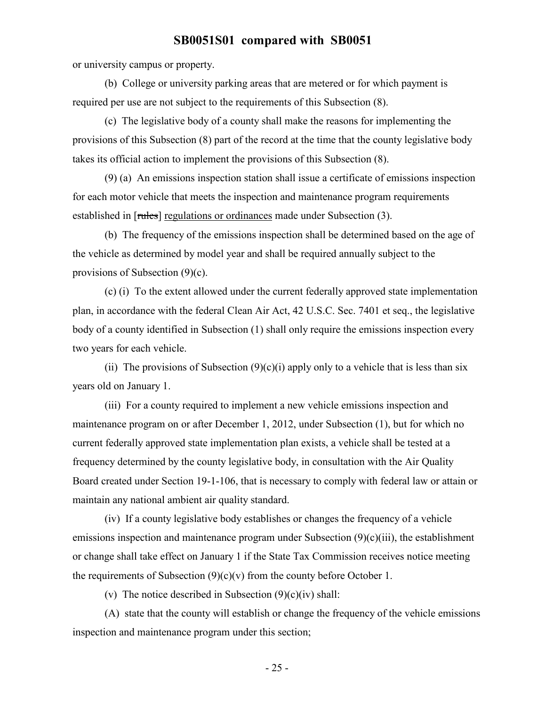or university campus or property.

(b) College or university parking areas that are metered or for which payment is required per use are not subject to the requirements of this Subsection (8).

(c) The legislative body of a county shall make the reasons for implementing the provisions of this Subsection (8) part of the record at the time that the county legislative body takes its official action to implement the provisions of this Subsection (8).

(9) (a) An emissions inspection station shall issue a certificate of emissions inspection for each motor vehicle that meets the inspection and maintenance program requirements established in [rules] regulations or ordinances made under Subsection (3).

(b) The frequency of the emissions inspection shall be determined based on the age of the vehicle as determined by model year and shall be required annually subject to the provisions of Subsection (9)(c).

(c) (i) To the extent allowed under the current federally approved state implementation plan, in accordance with the federal Clean Air Act, 42 U.S.C. Sec. 7401 et seq., the legislative body of a county identified in Subsection (1) shall only require the emissions inspection every two years for each vehicle.

(ii) The provisions of Subsection  $(9)(c)(i)$  apply only to a vehicle that is less than six years old on January 1.

(iii) For a county required to implement a new vehicle emissions inspection and maintenance program on or after December 1, 2012, under Subsection (1), but for which no current federally approved state implementation plan exists, a vehicle shall be tested at a frequency determined by the county legislative body, in consultation with the Air Quality Board created under Section 19-1-106, that is necessary to comply with federal law or attain or maintain any national ambient air quality standard.

(iv) If a county legislative body establishes or changes the frequency of a vehicle emissions inspection and maintenance program under Subsection (9)(c)(iii), the establishment or change shall take effect on January 1 if the State Tax Commission receives notice meeting the requirements of Subsection  $(9)(c)(v)$  from the county before October 1.

(v) The notice described in Subsection  $(9)(c)(iv)$  shall:

(A) state that the county will establish or change the frequency of the vehicle emissions inspection and maintenance program under this section;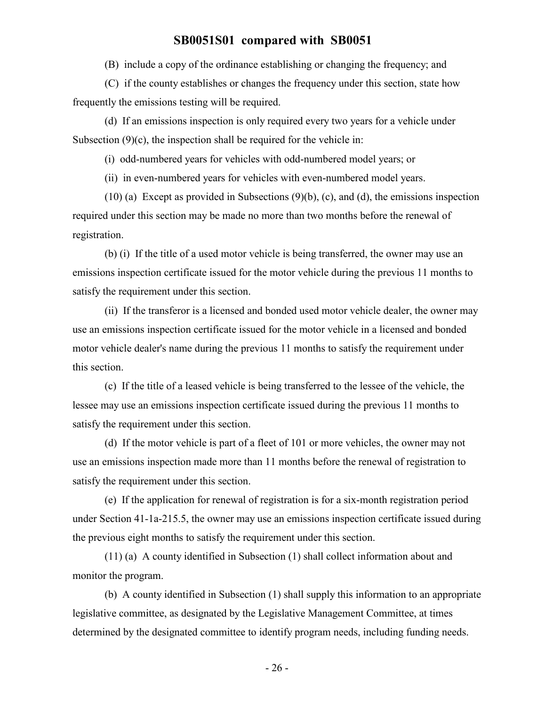(B) include a copy of the ordinance establishing or changing the frequency; and

(C) if the county establishes or changes the frequency under this section, state how frequently the emissions testing will be required.

(d) If an emissions inspection is only required every two years for a vehicle under Subsection  $(9)(c)$ , the inspection shall be required for the vehicle in:

(i) odd-numbered years for vehicles with odd-numbered model years; or

(ii) in even-numbered years for vehicles with even-numbered model years.

(10) (a) Except as provided in Subsections (9)(b), (c), and (d), the emissions inspection required under this section may be made no more than two months before the renewal of registration.

(b) (i) If the title of a used motor vehicle is being transferred, the owner may use an emissions inspection certificate issued for the motor vehicle during the previous 11 months to satisfy the requirement under this section.

(ii) If the transferor is a licensed and bonded used motor vehicle dealer, the owner may use an emissions inspection certificate issued for the motor vehicle in a licensed and bonded motor vehicle dealer's name during the previous 11 months to satisfy the requirement under this section.

(c) If the title of a leased vehicle is being transferred to the lessee of the vehicle, the lessee may use an emissions inspection certificate issued during the previous 11 months to satisfy the requirement under this section.

(d) If the motor vehicle is part of a fleet of 101 or more vehicles, the owner may not use an emissions inspection made more than 11 months before the renewal of registration to satisfy the requirement under this section.

(e) If the application for renewal of registration is for a six-month registration period under Section 41-1a-215.5, the owner may use an emissions inspection certificate issued during the previous eight months to satisfy the requirement under this section.

(11) (a) A county identified in Subsection (1) shall collect information about and monitor the program.

(b) A county identified in Subsection (1) shall supply this information to an appropriate legislative committee, as designated by the Legislative Management Committee, at times determined by the designated committee to identify program needs, including funding needs.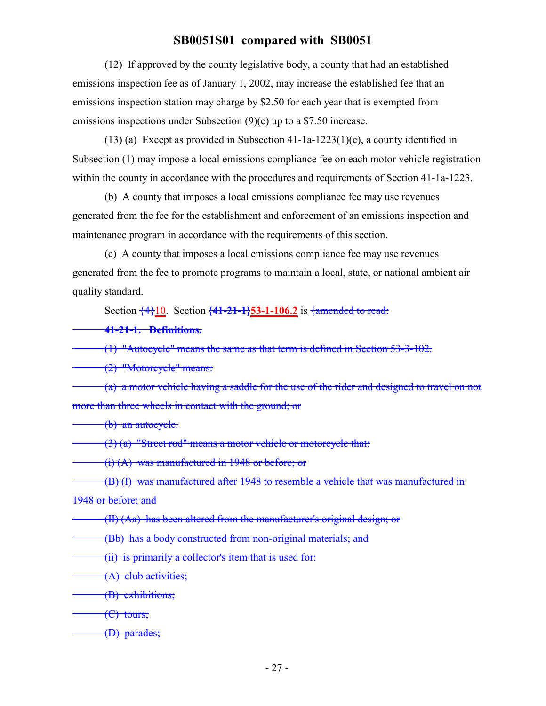(12) If approved by the county legislative body, a county that had an established emissions inspection fee as of January 1, 2002, may increase the established fee that an emissions inspection station may charge by \$2.50 for each year that is exempted from emissions inspections under Subsection (9)(c) up to a \$7.50 increase.

(13) (a) Except as provided in Subsection 41-1a-1223(1)(c), a county identified in Subsection (1) may impose a local emissions compliance fee on each motor vehicle registration within the county in accordance with the procedures and requirements of Section 41-1a-1223.

(b) A county that imposes a local emissions compliance fee may use revenues generated from the fee for the establishment and enforcement of an emissions inspection and maintenance program in accordance with the requirements of this section.

(c) A county that imposes a local emissions compliance fee may use revenues generated from the fee to promote programs to maintain a local, state, or national ambient air quality standard.

Section  $\frac{4}{10}$ . Section  $\frac{41-21-1}{53-1-106.2}$  is  $\frac{4}{100}$  is  $\frac{4}{100}$ 

**41-21-1. Definitions.**

(1) "Autocycle" means the same as that term is defined in Section 53-3-102.

(2) "Motorcycle" means:

(a) a motor vehicle having a saddle for the use of the rider and designed to travel on not more than three wheels in contact with the ground; or

(b) an autocycle.

(3) (a) "Street rod" means a motor vehicle or motorcycle that:

(i) (A) was manufactured in 1948 or before; or

(B) (I) was manufactured after 1948 to resemble a vehicle that was manufactured in

1948 or before; and

(II) (Aa) has been altered from the manufacturer's original design; or

(Bb) has a body constructed from non-original materials; and

(ii) is primarily a collector's item that is used for:

(A) club activities;

(B) exhibitions;

 $\left(\frac{C}{C}\right)$  tours;

(D) parades;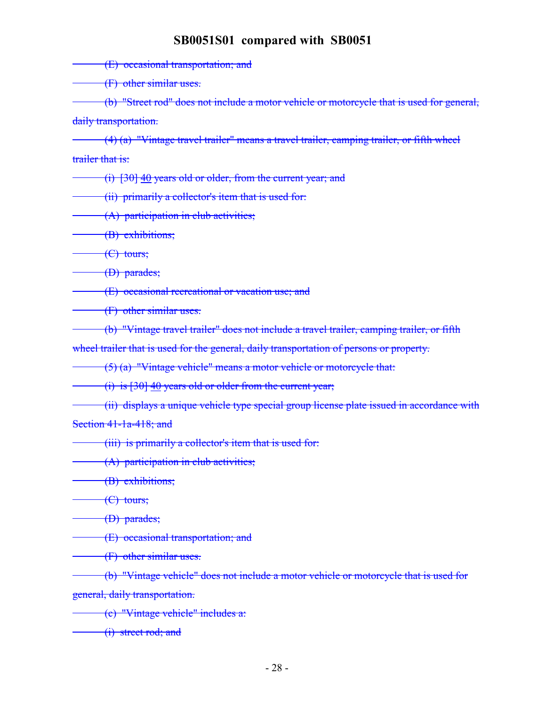(E) occasional transportation; and

(F) other similar uses.

(b) "Street rod" does not include a motor vehicle or motorcycle that is used for general, daily transportation.

(4) (a) "Vintage travel trailer" means a travel trailer, camping trailer, or fifth wheel trailer that is:

(i) [30] 40 years old or older, from the current year; and

(ii) primarily a collector's item that is used for:

(A) participation in club activities;

(B) exhibitions;

(C) tours;

(D) parades;

(E) occasional recreational or vacation use; and

(F) other similar uses.

(b) "Vintage travel trailer" does not include a travel trailer, camping trailer, or fifth

wheel trailer that is used for the general, daily transportation of persons or property.

(5) (a) "Vintage vehicle" means a motor vehicle or motorcycle that:

(i) is [30] 40 years old or older from the current year;

(ii) displays a unique vehicle type special group license plate issued in accordance with Section 41-1a-418; and

(iii) is primarily a collector's item that is used for:

(A) participation in club activities;

(B) exhibitions;

 $\left($ C) tours;

(D) parades;

(E) occasional transportation; and

(F) other similar uses.

(b) "Vintage vehicle" does not include a motor vehicle or motorcycle that is used for general, daily transportation.

(c) "Vintage vehicle" includes a:

(i) street rod; and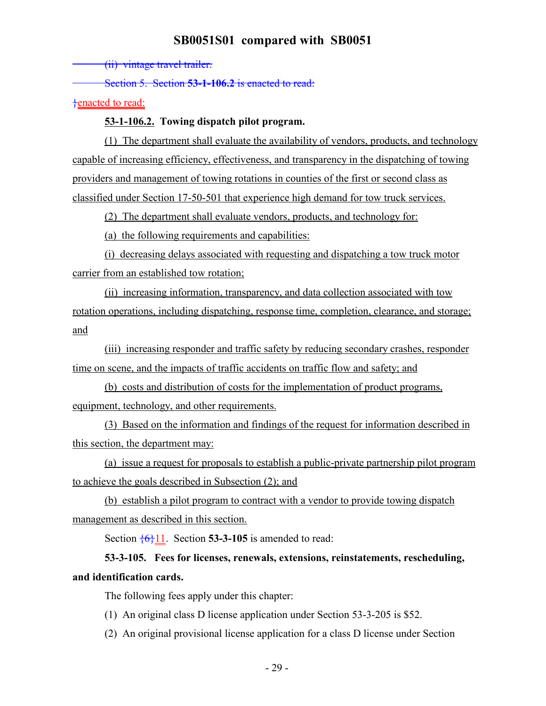(ii) vintage travel trailer.

Section 5. Section **53-1-106.2** is enacted to read:

}enacted to read:

#### **53-1-106.2. Towing dispatch pilot program.**

(1) The department shall evaluate the availability of vendors, products, and technology capable of increasing efficiency, effectiveness, and transparency in the dispatching of towing providers and management of towing rotations in counties of the first or second class as classified under Section 17-50-501 that experience high demand for tow truck services.

(2) The department shall evaluate vendors, products, and technology for:

(a) the following requirements and capabilities:

(i) decreasing delays associated with requesting and dispatching a tow truck motor carrier from an established tow rotation;

(ii) increasing information, transparency, and data collection associated with tow rotation operations, including dispatching, response time, completion, clearance, and storage; and

(iii) increasing responder and traffic safety by reducing secondary crashes, responder time on scene, and the impacts of traffic accidents on traffic flow and safety; and

(b) costs and distribution of costs for the implementation of product programs, equipment, technology, and other requirements.

(3) Based on the information and findings of the request for information described in this section, the department may:

(a) issue a request for proposals to establish a public-private partnership pilot program to achieve the goals described in Subsection (2); and

(b) establish a pilot program to contract with a vendor to provide towing dispatch management as described in this section.

Section  $\frac{6}{11}$ . Section **53-3-105** is amended to read:

# **53-3-105. Fees for licenses, renewals, extensions, reinstatements, rescheduling, and identification cards.**

The following fees apply under this chapter:

- (1) An original class D license application under Section 53-3-205 is \$52.
- (2) An original provisional license application for a class D license under Section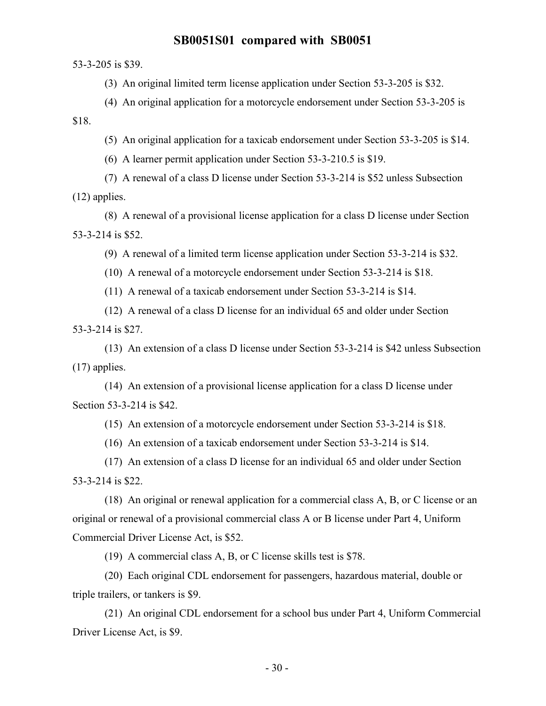53-3-205 is \$39.

(3) An original limited term license application under Section 53-3-205 is \$32.

(4) An original application for a motorcycle endorsement under Section 53-3-205 is \$18.

(5) An original application for a taxicab endorsement under Section 53-3-205 is \$14.

(6) A learner permit application under Section 53-3-210.5 is \$19.

(7) A renewal of a class D license under Section 53-3-214 is \$52 unless Subsection (12) applies.

(8) A renewal of a provisional license application for a class D license under Section 53-3-214 is \$52.

(9) A renewal of a limited term license application under Section 53-3-214 is \$32.

(10) A renewal of a motorcycle endorsement under Section 53-3-214 is \$18.

(11) A renewal of a taxicab endorsement under Section 53-3-214 is \$14.

(12) A renewal of a class D license for an individual 65 and older under Section 53-3-214 is \$27.

(13) An extension of a class D license under Section 53-3-214 is \$42 unless Subsection (17) applies.

(14) An extension of a provisional license application for a class D license under Section 53-3-214 is \$42.

(15) An extension of a motorcycle endorsement under Section 53-3-214 is \$18.

(16) An extension of a taxicab endorsement under Section 53-3-214 is \$14.

(17) An extension of a class D license for an individual 65 and older under Section 53-3-214 is \$22.

(18) An original or renewal application for a commercial class A, B, or C license or an original or renewal of a provisional commercial class A or B license under Part 4, Uniform Commercial Driver License Act, is \$52.

(19) A commercial class A, B, or C license skills test is \$78.

(20) Each original CDL endorsement for passengers, hazardous material, double or triple trailers, or tankers is \$9.

(21) An original CDL endorsement for a school bus under Part 4, Uniform Commercial Driver License Act, is \$9.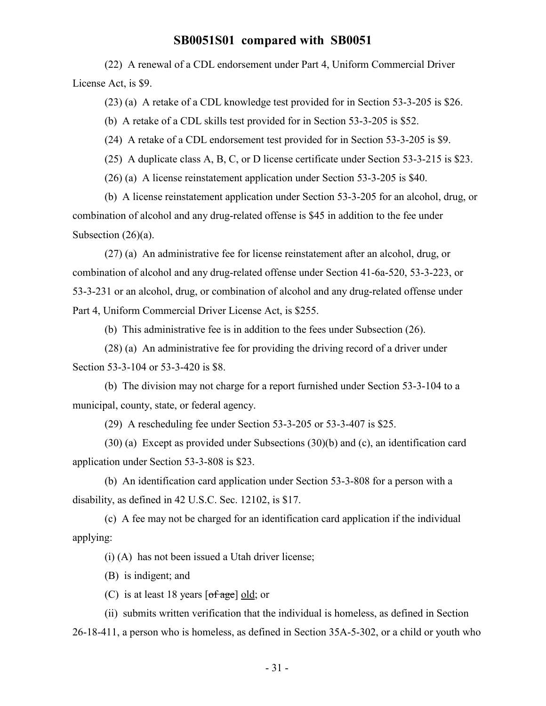(22) A renewal of a CDL endorsement under Part 4, Uniform Commercial Driver License Act, is \$9.

(23) (a) A retake of a CDL knowledge test provided for in Section 53-3-205 is \$26.

(b) A retake of a CDL skills test provided for in Section 53-3-205 is \$52.

(24) A retake of a CDL endorsement test provided for in Section 53-3-205 is \$9.

(25) A duplicate class A, B, C, or D license certificate under Section 53-3-215 is \$23.

(26) (a) A license reinstatement application under Section 53-3-205 is \$40.

(b) A license reinstatement application under Section 53-3-205 for an alcohol, drug, or combination of alcohol and any drug-related offense is \$45 in addition to the fee under Subsection (26)(a).

(27) (a) An administrative fee for license reinstatement after an alcohol, drug, or combination of alcohol and any drug-related offense under Section 41-6a-520, 53-3-223, or 53-3-231 or an alcohol, drug, or combination of alcohol and any drug-related offense under Part 4, Uniform Commercial Driver License Act, is \$255.

(b) This administrative fee is in addition to the fees under Subsection (26).

(28) (a) An administrative fee for providing the driving record of a driver under Section 53-3-104 or 53-3-420 is \$8.

(b) The division may not charge for a report furnished under Section 53-3-104 to a municipal, county, state, or federal agency.

(29) A rescheduling fee under Section 53-3-205 or 53-3-407 is \$25.

(30) (a) Except as provided under Subsections (30)(b) and (c), an identification card application under Section 53-3-808 is \$23.

(b) An identification card application under Section 53-3-808 for a person with a disability, as defined in 42 U.S.C. Sec. 12102, is \$17.

(c) A fee may not be charged for an identification card application if the individual applying:

(i) (A) has not been issued a Utah driver license;

(B) is indigent; and

(C) is at least 18 years  $[of \, age]$  old; or

(ii) submits written verification that the individual is homeless, as defined in Section 26-18-411, a person who is homeless, as defined in Section 35A-5-302, or a child or youth who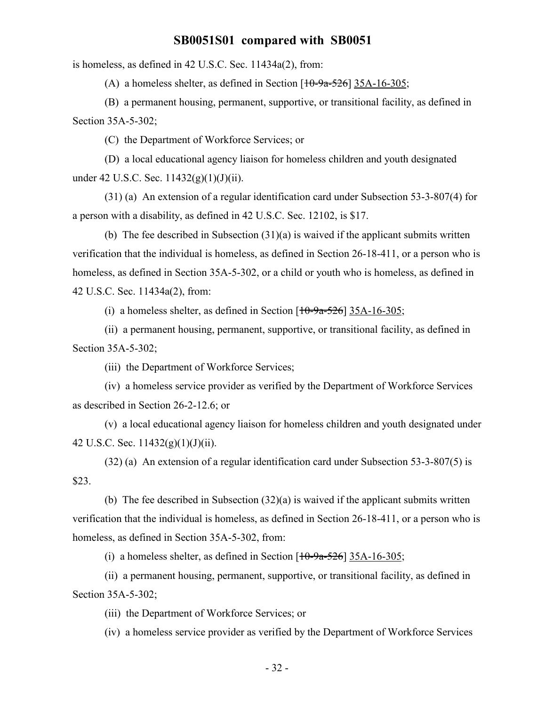is homeless, as defined in 42 U.S.C. Sec. 11434a(2), from:

(A) a homeless shelter, as defined in Section  $[10-9a-526]$  35A-16-305;

(B) a permanent housing, permanent, supportive, or transitional facility, as defined in Section 35A-5-302;

(C) the Department of Workforce Services; or

(D) a local educational agency liaison for homeless children and youth designated under 42 U.S.C. Sec.  $11432(g)(1)(J)(ii)$ .

(31) (a) An extension of a regular identification card under Subsection 53-3-807(4) for a person with a disability, as defined in 42 U.S.C. Sec. 12102, is \$17.

(b) The fee described in Subsection (31)(a) is waived if the applicant submits written verification that the individual is homeless, as defined in Section 26-18-411, or a person who is homeless, as defined in Section 35A-5-302, or a child or youth who is homeless, as defined in 42 U.S.C. Sec. 11434a(2), from:

(i) a homeless shelter, as defined in Section  $[10-9a-526]$  35A-16-305;

(ii) a permanent housing, permanent, supportive, or transitional facility, as defined in Section 35A-5-302;

(iii) the Department of Workforce Services;

(iv) a homeless service provider as verified by the Department of Workforce Services as described in Section 26-2-12.6; or

(v) a local educational agency liaison for homeless children and youth designated under 42 U.S.C. Sec.  $11432(g)(1)(J)(ii)$ .

(32) (a) An extension of a regular identification card under Subsection 53-3-807(5) is \$23.

(b) The fee described in Subsection (32)(a) is waived if the applicant submits written verification that the individual is homeless, as defined in Section 26-18-411, or a person who is homeless, as defined in Section 35A-5-302, from:

(i) a homeless shelter, as defined in Section  $[10-9a-526]$  35A-16-305;

(ii) a permanent housing, permanent, supportive, or transitional facility, as defined in Section 35A-5-302;

(iii) the Department of Workforce Services; or

(iv) a homeless service provider as verified by the Department of Workforce Services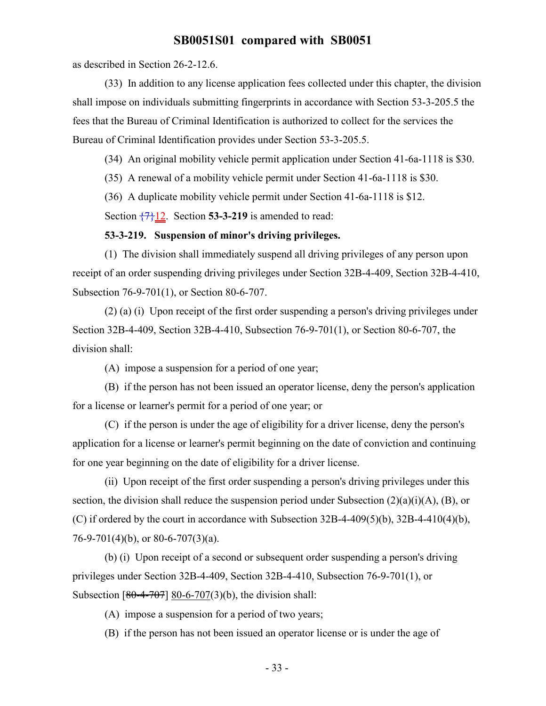as described in Section 26-2-12.6.

(33) In addition to any license application fees collected under this chapter, the division shall impose on individuals submitting fingerprints in accordance with Section 53-3-205.5 the fees that the Bureau of Criminal Identification is authorized to collect for the services the Bureau of Criminal Identification provides under Section 53-3-205.5.

(34) An original mobility vehicle permit application under Section 41-6a-1118 is \$30.

(35) A renewal of a mobility vehicle permit under Section 41-6a-1118 is \$30.

(36) A duplicate mobility vehicle permit under Section 41-6a-1118 is \$12.

Section  $\overline{77}12$ . Section **53-3-219** is amended to read:

#### **53-3-219. Suspension of minor's driving privileges.**

(1) The division shall immediately suspend all driving privileges of any person upon receipt of an order suspending driving privileges under Section 32B-4-409, Section 32B-4-410, Subsection 76-9-701(1), or Section 80-6-707.

(2) (a) (i) Upon receipt of the first order suspending a person's driving privileges under Section 32B-4-409, Section 32B-4-410, Subsection 76-9-701(1), or Section 80-6-707, the division shall:

(A) impose a suspension for a period of one year;

(B) if the person has not been issued an operator license, deny the person's application for a license or learner's permit for a period of one year; or

(C) if the person is under the age of eligibility for a driver license, deny the person's application for a license or learner's permit beginning on the date of conviction and continuing for one year beginning on the date of eligibility for a driver license.

(ii) Upon receipt of the first order suspending a person's driving privileges under this section, the division shall reduce the suspension period under Subsection  $(2)(a)(i)(A)$ ,  $(B)$ , or (C) if ordered by the court in accordance with Subsection  $32B-4-409(5)(b)$ ,  $32B-4-410(4)(b)$ , 76-9-701(4)(b), or 80-6-707(3)(a).

(b) (i) Upon receipt of a second or subsequent order suspending a person's driving privileges under Section 32B-4-409, Section 32B-4-410, Subsection 76-9-701(1), or Subsection  $[80-4-707]$  80-6-707(3)(b), the division shall:

(A) impose a suspension for a period of two years;

(B) if the person has not been issued an operator license or is under the age of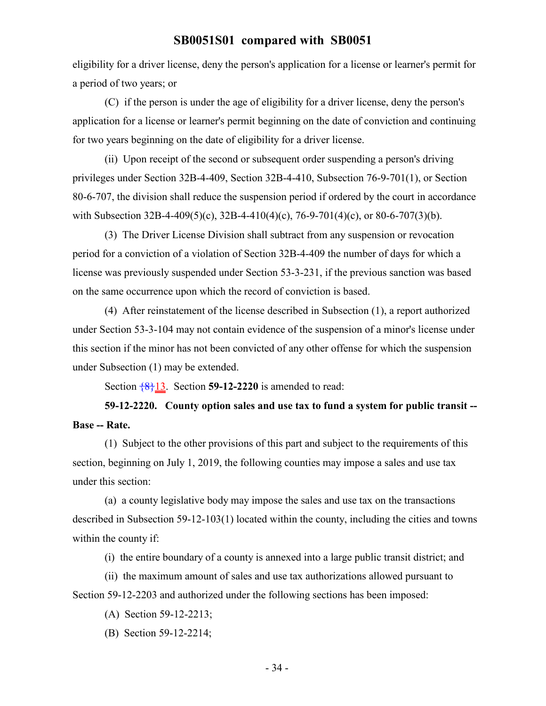eligibility for a driver license, deny the person's application for a license or learner's permit for a period of two years; or

(C) if the person is under the age of eligibility for a driver license, deny the person's application for a license or learner's permit beginning on the date of conviction and continuing for two years beginning on the date of eligibility for a driver license.

(ii) Upon receipt of the second or subsequent order suspending a person's driving privileges under Section 32B-4-409, Section 32B-4-410, Subsection 76-9-701(1), or Section 80-6-707, the division shall reduce the suspension period if ordered by the court in accordance with Subsection 32B-4-409(5)(c), 32B-4-410(4)(c), 76-9-701(4)(c), or 80-6-707(3)(b).

(3) The Driver License Division shall subtract from any suspension or revocation period for a conviction of a violation of Section 32B-4-409 the number of days for which a license was previously suspended under Section 53-3-231, if the previous sanction was based on the same occurrence upon which the record of conviction is based.

(4) After reinstatement of the license described in Subsection (1), a report authorized under Section 53-3-104 may not contain evidence of the suspension of a minor's license under this section if the minor has not been convicted of any other offense for which the suspension under Subsection (1) may be extended.

Section  $\frac{8}{13}$ . Section **59-12-2220** is amended to read:

**59-12-2220. County option sales and use tax to fund a system for public transit -- Base -- Rate.**

(1) Subject to the other provisions of this part and subject to the requirements of this section, beginning on July 1, 2019, the following counties may impose a sales and use tax under this section:

(a) a county legislative body may impose the sales and use tax on the transactions described in Subsection 59-12-103(1) located within the county, including the cities and towns within the county if:

(i) the entire boundary of a county is annexed into a large public transit district; and

(ii) the maximum amount of sales and use tax authorizations allowed pursuant to Section 59-12-2203 and authorized under the following sections has been imposed:

- (A) Section 59-12-2213;
- (B) Section 59-12-2214;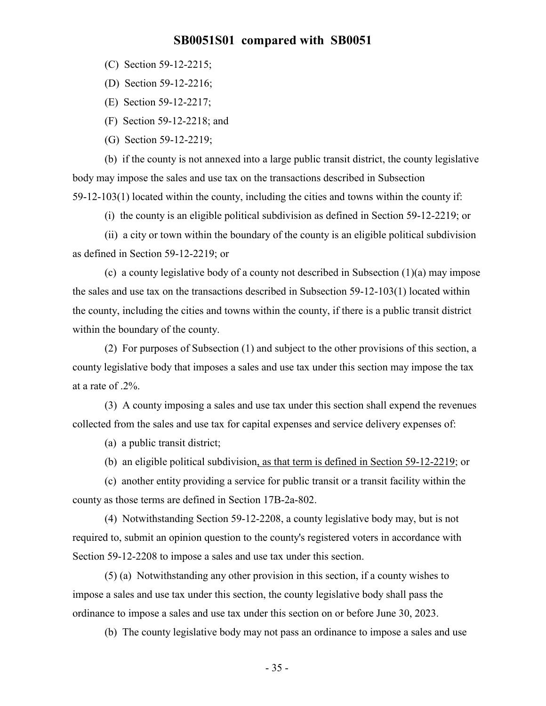(C) Section 59-12-2215;

(D) Section 59-12-2216;

(E) Section 59-12-2217;

(F) Section 59-12-2218; and

(G) Section 59-12-2219;

(b) if the county is not annexed into a large public transit district, the county legislative body may impose the sales and use tax on the transactions described in Subsection 59-12-103(1) located within the county, including the cities and towns within the county if:

(i) the county is an eligible political subdivision as defined in Section 59-12-2219; or

(ii) a city or town within the boundary of the county is an eligible political subdivision as defined in Section 59-12-2219; or

(c) a county legislative body of a county not described in Subsection (1)(a) may impose the sales and use tax on the transactions described in Subsection 59-12-103(1) located within the county, including the cities and towns within the county, if there is a public transit district within the boundary of the county.

(2) For purposes of Subsection (1) and subject to the other provisions of this section, a county legislative body that imposes a sales and use tax under this section may impose the tax at a rate of .2%.

(3) A county imposing a sales and use tax under this section shall expend the revenues collected from the sales and use tax for capital expenses and service delivery expenses of:

(a) a public transit district;

(b) an eligible political subdivision, as that term is defined in Section 59-12-2219; or

(c) another entity providing a service for public transit or a transit facility within the county as those terms are defined in Section 17B-2a-802.

(4) Notwithstanding Section 59-12-2208, a county legislative body may, but is not required to, submit an opinion question to the county's registered voters in accordance with Section 59-12-2208 to impose a sales and use tax under this section.

(5) (a) Notwithstanding any other provision in this section, if a county wishes to impose a sales and use tax under this section, the county legislative body shall pass the ordinance to impose a sales and use tax under this section on or before June 30, 2023.

(b) The county legislative body may not pass an ordinance to impose a sales and use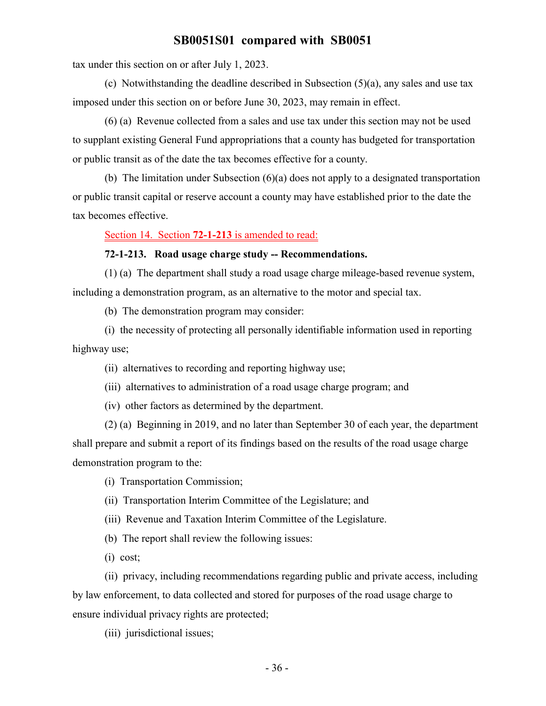tax under this section on or after July 1, 2023.

(c) Notwithstanding the deadline described in Subsection (5)(a), any sales and use tax imposed under this section on or before June 30, 2023, may remain in effect.

(6) (a) Revenue collected from a sales and use tax under this section may not be used to supplant existing General Fund appropriations that a county has budgeted for transportation or public transit as of the date the tax becomes effective for a county.

(b) The limitation under Subsection (6)(a) does not apply to a designated transportation or public transit capital or reserve account a county may have established prior to the date the tax becomes effective.

Section 14. Section **72-1-213** is amended to read:

#### **72-1-213. Road usage charge study -- Recommendations.**

(1) (a) The department shall study a road usage charge mileage-based revenue system, including a demonstration program, as an alternative to the motor and special tax.

(b) The demonstration program may consider:

(i) the necessity of protecting all personally identifiable information used in reporting highway use;

(ii) alternatives to recording and reporting highway use;

(iii) alternatives to administration of a road usage charge program; and

(iv) other factors as determined by the department.

(2) (a) Beginning in 2019, and no later than September 30 of each year, the department shall prepare and submit a report of its findings based on the results of the road usage charge demonstration program to the:

(i) Transportation Commission;

(ii) Transportation Interim Committee of the Legislature; and

(iii) Revenue and Taxation Interim Committee of the Legislature.

(b) The report shall review the following issues:

(i) cost;

(ii) privacy, including recommendations regarding public and private access, including by law enforcement, to data collected and stored for purposes of the road usage charge to ensure individual privacy rights are protected;

(iii) jurisdictional issues;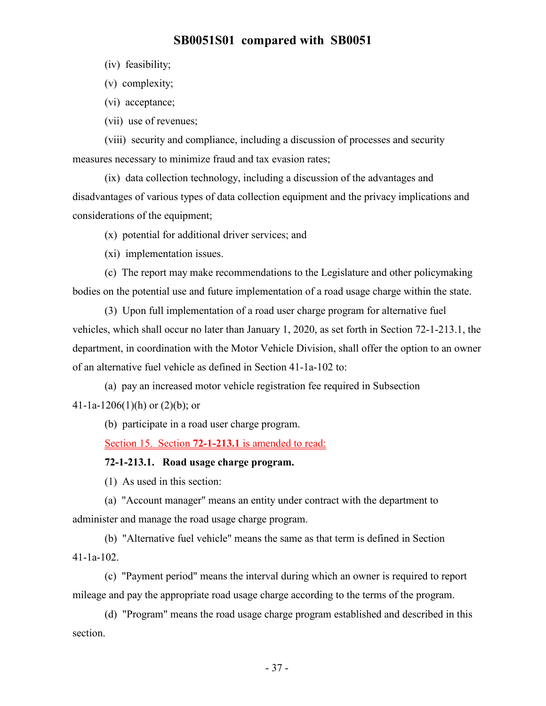(iv) feasibility;

(v) complexity;

(vi) acceptance;

(vii) use of revenues;

(viii) security and compliance, including a discussion of processes and security measures necessary to minimize fraud and tax evasion rates;

(ix) data collection technology, including a discussion of the advantages and disadvantages of various types of data collection equipment and the privacy implications and considerations of the equipment;

#### (x) potential for additional driver services; and

(xi) implementation issues.

(c) The report may make recommendations to the Legislature and other policymaking bodies on the potential use and future implementation of a road usage charge within the state.

(3) Upon full implementation of a road user charge program for alternative fuel vehicles, which shall occur no later than January 1, 2020, as set forth in Section 72-1-213.1, the department, in coordination with the Motor Vehicle Division, shall offer the option to an owner of an alternative fuel vehicle as defined in Section 41-1a-102 to:

(a) pay an increased motor vehicle registration fee required in Subsection 41-1a-1206(1)(h) or  $(2)(b)$ ; or

(b) participate in a road user charge program.

Section 15. Section **72-1-213.1** is amended to read:

#### **72-1-213.1. Road usage charge program.**

(1) As used in this section:

(a) "Account manager" means an entity under contract with the department to administer and manage the road usage charge program.

(b) "Alternative fuel vehicle" means the same as that term is defined in Section 41-1a-102.

(c) "Payment period" means the interval during which an owner is required to report mileage and pay the appropriate road usage charge according to the terms of the program.

(d) "Program" means the road usage charge program established and described in this section.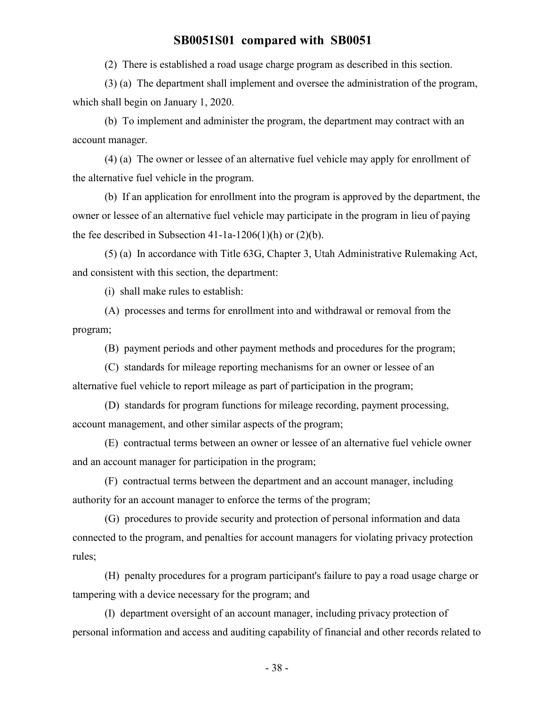(2) There is established a road usage charge program as described in this section.

(3) (a) The department shall implement and oversee the administration of the program, which shall begin on January 1, 2020.

(b) To implement and administer the program, the department may contract with an account manager.

(4) (a) The owner or lessee of an alternative fuel vehicle may apply for enrollment of the alternative fuel vehicle in the program.

(b) If an application for enrollment into the program is approved by the department, the owner or lessee of an alternative fuel vehicle may participate in the program in lieu of paying the fee described in Subsection 41-1a-1206(1)(h) or  $(2)(b)$ .

(5) (a) In accordance with Title 63G, Chapter 3, Utah Administrative Rulemaking Act, and consistent with this section, the department:

(i) shall make rules to establish:

(A) processes and terms for enrollment into and withdrawal or removal from the program;

(B) payment periods and other payment methods and procedures for the program;

(C) standards for mileage reporting mechanisms for an owner or lessee of an alternative fuel vehicle to report mileage as part of participation in the program;

(D) standards for program functions for mileage recording, payment processing, account management, and other similar aspects of the program;

(E) contractual terms between an owner or lessee of an alternative fuel vehicle owner and an account manager for participation in the program;

(F) contractual terms between the department and an account manager, including authority for an account manager to enforce the terms of the program;

(G) procedures to provide security and protection of personal information and data connected to the program, and penalties for account managers for violating privacy protection rules;

(H) penalty procedures for a program participant's failure to pay a road usage charge or tampering with a device necessary for the program; and

(I) department oversight of an account manager, including privacy protection of personal information and access and auditing capability of financial and other records related to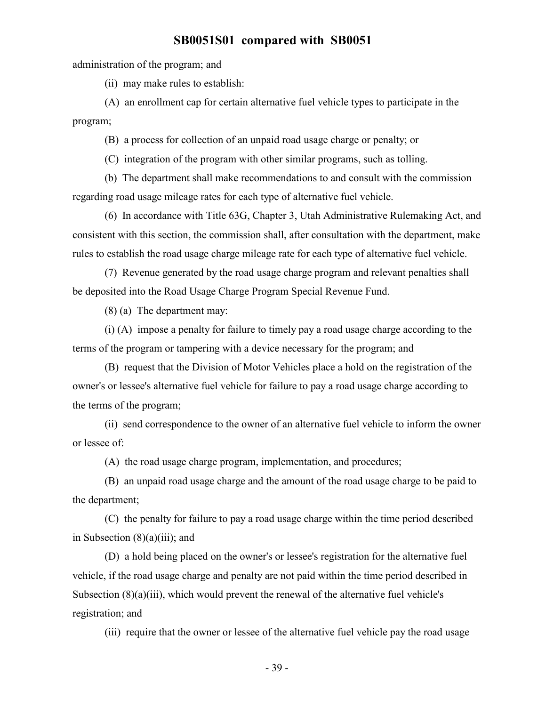administration of the program; and

(ii) may make rules to establish:

(A) an enrollment cap for certain alternative fuel vehicle types to participate in the program;

(B) a process for collection of an unpaid road usage charge or penalty; or

(C) integration of the program with other similar programs, such as tolling.

(b) The department shall make recommendations to and consult with the commission regarding road usage mileage rates for each type of alternative fuel vehicle.

(6) In accordance with Title 63G, Chapter 3, Utah Administrative Rulemaking Act, and consistent with this section, the commission shall, after consultation with the department, make rules to establish the road usage charge mileage rate for each type of alternative fuel vehicle.

(7) Revenue generated by the road usage charge program and relevant penalties shall be deposited into the Road Usage Charge Program Special Revenue Fund.

(8) (a) The department may:

(i) (A) impose a penalty for failure to timely pay a road usage charge according to the terms of the program or tampering with a device necessary for the program; and

(B) request that the Division of Motor Vehicles place a hold on the registration of the owner's or lessee's alternative fuel vehicle for failure to pay a road usage charge according to the terms of the program;

(ii) send correspondence to the owner of an alternative fuel vehicle to inform the owner or lessee of:

(A) the road usage charge program, implementation, and procedures;

(B) an unpaid road usage charge and the amount of the road usage charge to be paid to the department;

(C) the penalty for failure to pay a road usage charge within the time period described in Subsection (8)(a)(iii); and

(D) a hold being placed on the owner's or lessee's registration for the alternative fuel vehicle, if the road usage charge and penalty are not paid within the time period described in Subsection (8)(a)(iii), which would prevent the renewal of the alternative fuel vehicle's registration; and

(iii) require that the owner or lessee of the alternative fuel vehicle pay the road usage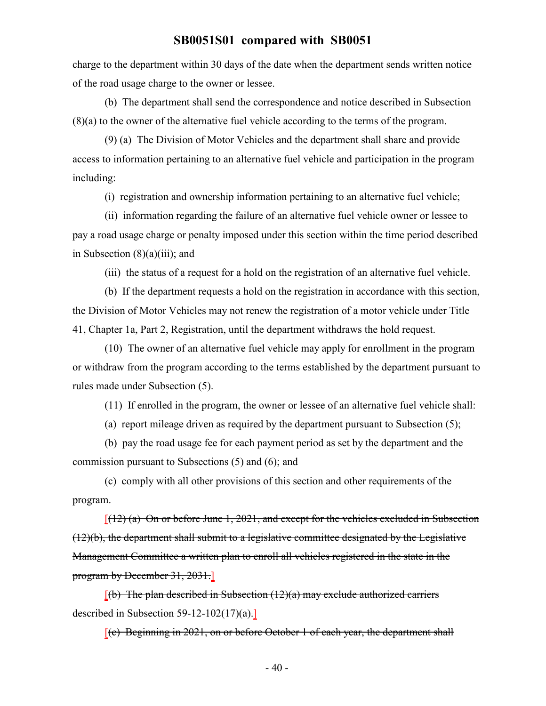charge to the department within 30 days of the date when the department sends written notice of the road usage charge to the owner or lessee.

(b) The department shall send the correspondence and notice described in Subsection (8)(a) to the owner of the alternative fuel vehicle according to the terms of the program.

(9) (a) The Division of Motor Vehicles and the department shall share and provide access to information pertaining to an alternative fuel vehicle and participation in the program including:

(i) registration and ownership information pertaining to an alternative fuel vehicle;

(ii) information regarding the failure of an alternative fuel vehicle owner or lessee to pay a road usage charge or penalty imposed under this section within the time period described in Subsection  $(8)(a)(iii)$ ; and

(iii) the status of a request for a hold on the registration of an alternative fuel vehicle.

(b) If the department requests a hold on the registration in accordance with this section, the Division of Motor Vehicles may not renew the registration of a motor vehicle under Title 41, Chapter 1a, Part 2, Registration, until the department withdraws the hold request.

(10) The owner of an alternative fuel vehicle may apply for enrollment in the program or withdraw from the program according to the terms established by the department pursuant to rules made under Subsection (5).

(11) If enrolled in the program, the owner or lessee of an alternative fuel vehicle shall:

(a) report mileage driven as required by the department pursuant to Subsection (5);

(b) pay the road usage fee for each payment period as set by the department and the commission pursuant to Subsections (5) and (6); and

(c) comply with all other provisions of this section and other requirements of the program.

 $[(12)$  (a) On or before June 1, 2021, and except for the vehicles excluded in Subsection (12)(b), the department shall submit to a legislative committee designated by the Legislative Management Committee a written plan to enroll all vehicles registered in the state in the program by December 31, 2031.]

 $[(b)$  The plan described in Subsection (12)(a) may exclude authorized carriers described in Subsection 59-12-102(17)(a).]

[(c) Beginning in 2021, on or before October 1 of each year, the department shall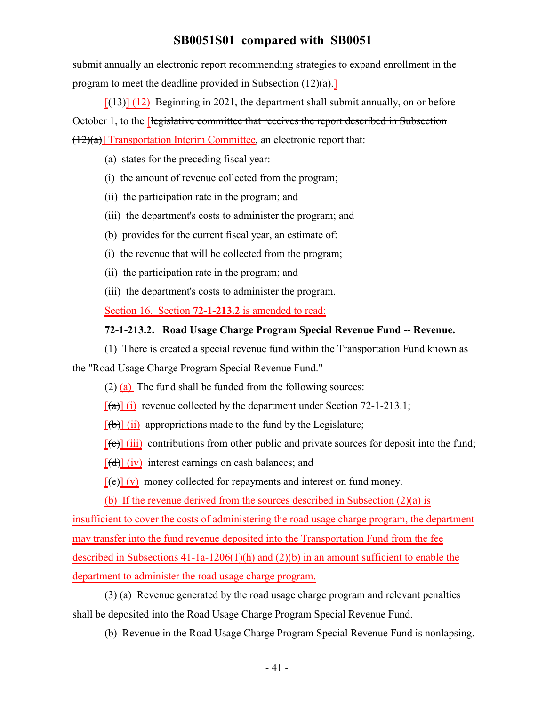submit annually an electronic report recommending strategies to expand enrollment in the program to meet the deadline provided in Subsection (12)(a).]

 $[(13)]$   $(12)$  Beginning in 2021, the department shall submit annually, on or before October 1, to the *elegislative committee that receives the report described in Subsection*  $(12)(a)$ ] Transportation Interim Committee, an electronic report that:

- (a) states for the preceding fiscal year:
- (i) the amount of revenue collected from the program;
- (ii) the participation rate in the program; and
- (iii) the department's costs to administer the program; and
- (b) provides for the current fiscal year, an estimate of:
- (i) the revenue that will be collected from the program;
- (ii) the participation rate in the program; and
- (iii) the department's costs to administer the program.

Section 16. Section **72-1-213.2** is amended to read:

#### **72-1-213.2. Road Usage Charge Program Special Revenue Fund -- Revenue.**

(1) There is created a special revenue fund within the Transportation Fund known as

the "Road Usage Charge Program Special Revenue Fund."

 $(2)$  (a) The fund shall be funded from the following sources:

 $[(a)] (i)$  revenue collected by the department under Section 72-1-213.1;

 $[(\theta)]$  (ii) appropriations made to the fund by the Legislature;

 $[\text{[c]}]$  (iii) contributions from other public and private sources for deposit into the fund;

 $[(d)]$  (iv) interest earnings on cash balances; and

 $[\text{e}(\mathbf{e})](\mathbf{v})$  money collected for repayments and interest on fund money.

(b) If the revenue derived from the sources described in Subsection (2)(a) is

insufficient to cover the costs of administering the road usage charge program, the department

may transfer into the fund revenue deposited into the Transportation Fund from the fee

described in Subsections 41-1a-1206(1)(h) and (2)(b) in an amount sufficient to enable the department to administer the road usage charge program.

(3) (a) Revenue generated by the road usage charge program and relevant penalties shall be deposited into the Road Usage Charge Program Special Revenue Fund.

(b) Revenue in the Road Usage Charge Program Special Revenue Fund is nonlapsing.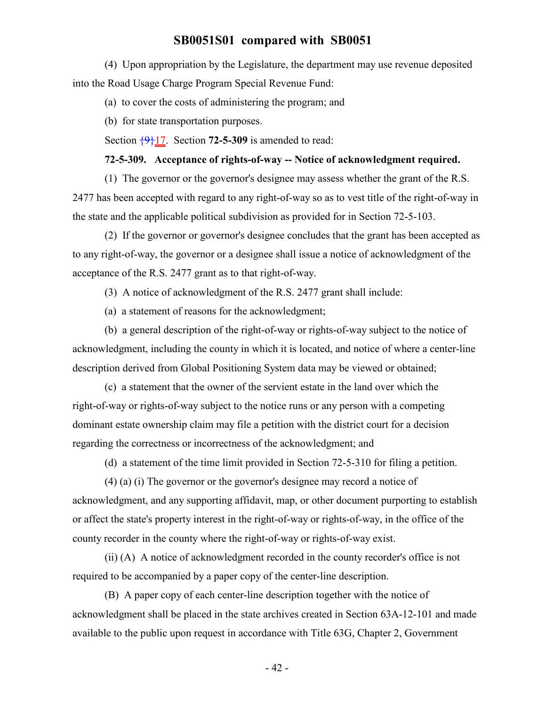(4) Upon appropriation by the Legislature, the department may use revenue deposited into the Road Usage Charge Program Special Revenue Fund:

(a) to cover the costs of administering the program; and

(b) for state transportation purposes.

Section  $\{9\}17$ . Section **72-5-309** is amended to read:

#### **72-5-309. Acceptance of rights-of-way -- Notice of acknowledgment required.**

(1) The governor or the governor's designee may assess whether the grant of the R.S. 2477 has been accepted with regard to any right-of-way so as to vest title of the right-of-way in the state and the applicable political subdivision as provided for in Section 72-5-103.

(2) If the governor or governor's designee concludes that the grant has been accepted as to any right-of-way, the governor or a designee shall issue a notice of acknowledgment of the acceptance of the R.S. 2477 grant as to that right-of-way.

(3) A notice of acknowledgment of the R.S. 2477 grant shall include:

(a) a statement of reasons for the acknowledgment;

(b) a general description of the right-of-way or rights-of-way subject to the notice of acknowledgment, including the county in which it is located, and notice of where a center-line description derived from Global Positioning System data may be viewed or obtained;

(c) a statement that the owner of the servient estate in the land over which the right-of-way or rights-of-way subject to the notice runs or any person with a competing dominant estate ownership claim may file a petition with the district court for a decision regarding the correctness or incorrectness of the acknowledgment; and

(d) a statement of the time limit provided in Section 72-5-310 for filing a petition.

(4) (a) (i) The governor or the governor's designee may record a notice of acknowledgment, and any supporting affidavit, map, or other document purporting to establish or affect the state's property interest in the right-of-way or rights-of-way, in the office of the county recorder in the county where the right-of-way or rights-of-way exist.

(ii) (A) A notice of acknowledgment recorded in the county recorder's office is not required to be accompanied by a paper copy of the center-line description.

(B) A paper copy of each center-line description together with the notice of acknowledgment shall be placed in the state archives created in Section 63A-12-101 and made available to the public upon request in accordance with Title 63G, Chapter 2, Government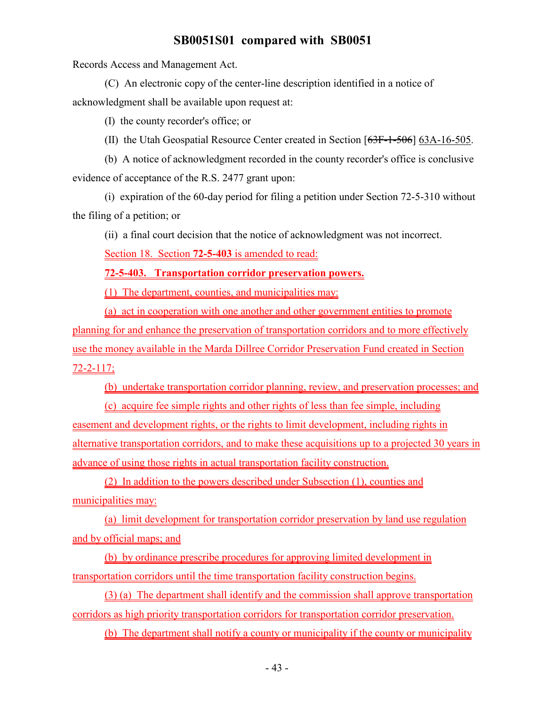Records Access and Management Act.

(C) An electronic copy of the center-line description identified in a notice of acknowledgment shall be available upon request at:

(I) the county recorder's office; or

(II) the Utah Geospatial Resource Center created in Section [63F-1-506] 63A-16-505.

(b) A notice of acknowledgment recorded in the county recorder's office is conclusive evidence of acceptance of the R.S. 2477 grant upon:

(i) expiration of the 60-day period for filing a petition under Section 72-5-310 without the filing of a petition; or

(ii) a final court decision that the notice of acknowledgment was not incorrect.

Section 18. Section **72-5-403** is amended to read:

**72-5-403. Transportation corridor preservation powers.**

(1) The department, counties, and municipalities may:

(a) act in cooperation with one another and other government entities to promote planning for and enhance the preservation of transportation corridors and to more effectively use the money available in the Marda Dillree Corridor Preservation Fund created in Section 72-2-117;

(b) undertake transportation corridor planning, review, and preservation processes; and

(c) acquire fee simple rights and other rights of less than fee simple, including easement and development rights, or the rights to limit development, including rights in alternative transportation corridors, and to make these acquisitions up to a projected 30 years in advance of using those rights in actual transportation facility construction.

(2) In addition to the powers described under Subsection (1), counties and municipalities may:

(a) limit development for transportation corridor preservation by land use regulation and by official maps; and

(b) by ordinance prescribe procedures for approving limited development in transportation corridors until the time transportation facility construction begins.

(3) (a) The department shall identify and the commission shall approve transportation corridors as high priority transportation corridors for transportation corridor preservation.

(b) The department shall notify a county or municipality if the county or municipality